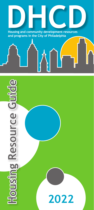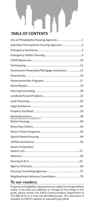# **TABLE OF CONTENTS**

| City of Philadelphia Housing Agencies1       |  |
|----------------------------------------------|--|
| Suburban Pennsylvania Housing Agencies3      |  |
|                                              |  |
|                                              |  |
|                                              |  |
|                                              |  |
| Foreclosure Prevention/Mortgage Assistance13 |  |
|                                              |  |
|                                              |  |
|                                              |  |
|                                              |  |
|                                              |  |
|                                              |  |
|                                              |  |
|                                              |  |
|                                              |  |
|                                              |  |
|                                              |  |
|                                              |  |
|                                              |  |
| Vacant Properties/                           |  |
|                                              |  |
|                                              |  |
|                                              |  |
|                                              |  |
|                                              |  |

## **To our readers:**

Programs and eligibility requirements are subject to change without notice. If you have any additions or changes to the listings in this guide, please contact the DHCD Communications Department at 215-686-9723 or e-mail info.dhcd@phila.gov. This document is available on DHCD's website at www.phila.gov/dhcd.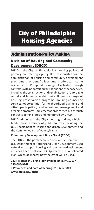# City of Philadelphia Housing Agencies

# Administration/Policy Making

## Division of Housing and Community Development (DHCD)

DHCD is the City of Philadelphia's housing policy and primary contracting agency. It is responsible for the administration of housing and community development programs that benefit low- and moderate-income residents. DHCD supports a range of activities through contracts with nonprofit organizations and other agencies, including the construction and rehabilitation of affordable rental and homeownership units. It funds a range of housing preservation programs, housing counseling services, opportunities for neighborhood planning and citizen participation, and vacant land management and greening programs. Implementation is carried out through contracts administered and monitored by DHCD.

DHCD administers the City's housing budget, which is funded from a variety of public sources, including the U.S. Department of Housing and Urban Development and the Commonwealth of Pennsylvania.

#### **Community Development Block Grant (CDBG)**

The CDBG is the primary source of revenue from the U. S. Department of Housing and Urban Development used to fund and support housing and community development activities. Each fiscal year DHCD prepares the Consolidated Plan, which delineates how the grant will be used.

#### **1234 Market St., 17th Floor, Philadelphia, PA 19107 215-686-9749**

**TTY for deaf and hard of hearing: 215-686-9803 www.phila.gov/dhcd**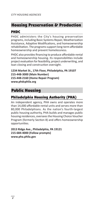# Housing Preservation & Production

### PHDC

PHDC administers the City's housing preservation programs, including Basic Systems Repair, Weatherization Assistance, Adaptive Modifications, and homeownership rehabilitation. The programs support long-term affordable homeownership and prevent homelessness.

PHDC also provides financing to produce affordable rental and homeownership housing. Its responsibilities include project evaluation for feasibility, project underwriting, and loan closing and construction oversight.

**1234 Market St., 17th Floor, Philadelphia, PA 19107 215-448-3000 (Main Number) 215-448-2160 (Home Repair Program) www.phdcphila.org**

# Public Housing

# Philadelphia Housing Authority (PHA)

An independent agency, PHA owns and operates more than 14,000 affordable rental units and serves more than 80,000 Philadelphians. As the nation's fourth-largest public housing authority, PHA builds and manages public housing residences, oversees the Housing Choice Voucher Program (formerly Section 8) and offers homeownership opportunities.

**2013 Ridge Ave., Philadelphia, PA 19121 215-684-4000 (Follow prompts) www.pha.phila.gov**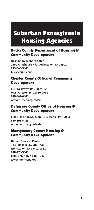# Suburban Pennsylvania Housing Agencies

## Bucks County Department of Housing & Community Development

**Neshaminy Manor Center 1260 Almshouse Rd., Doylestown, PA 18901 215-345-3840 buckscounty.org**

### Chester County Office of Community Development

**601 Westtown Rd., Suite 365 West Chester, PA 19380-0991 610-344-6900 www.chesco.org/ccdcd**

### Delaware County Office of Housing & Community Development

**600 N. Jackson St., Suite 101, Media, PA 19063 610-891-5425 www.delcopa.gov/hcd/**

#### Montgomery County Housing & Community Development

**Human Services Center 1430 DeKalb St., 5th Floor Norristown, PA 19401-0311 610-278-3540 Call Center: 877-646-6306 www.montcopa.org**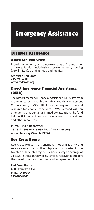# Emergency Assistance

# Disaster Assistance

#### American Red Cross

Provides emergency assistance to victims of fire and other disasters. Services include short-term emergency housing (very limited), clothing, food and medical.

**American Red Cross 215-299-4000 www.redcross.org**

### Direct Emergency Financial Assistance (DEFA)

The Direct Emergency Financial Assistance (DEFA) Program is administered through the Public Health Management Corporation (PHMC). DEFA is an emergency financial resource for people living with HIV/AIDS faced with an emergency that demands immediate attention. The fund helps with imminent homelessness, access to medications, and other resources.

**PHMC – DEFA Department 267-822-8363 or 215-985-2500 (main number) www.phmc.org (Search: DEFA)**

#### Red Cross House

Red Cross House is a transitional housing facility and service center for families displaced by disaster in the Greater Philadelphia region. Residents stay an average of 21 days. In these three weeks, families receive the support they need to return to normal and independent living.

**Red Cross House 4000 Powelton Ave. Phila, PA 19104 215-405-8800**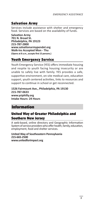#### Salvation Army

Services include assistance with shelter and emergency food. Services are based on the availability of funds.

**Salvation Army 701 N. Broad St. Philadelphia, PA 19123 215-787-2800 www.salvationarmypendel.org Walk-Ins Accepted Mon - Thu (Opens at 8 a.m., accepts first 15 persons.)**

## Youth Emergency Service

Youth Emergency Service (YES) offers immediate housing and respite to youth facing housing insecurity or are unable to safely live with family. YES provides a safe, supportive environment, on-site medical care, education support, youth centered activities, links to resources and support to continue in school or get reconnected.

**1526 Fairmount Ave., Philadelphia, PA 19130 215-787-0633 www.ysiphilly.org Intake Hours: 24 Hours**

## Information

### United Way of Greater Philadelphia and Southern New Jersey

A web-based, online directory and Geographic Information System of service providers who offer health, family, education, employment, food and shelter services.

#### **United Way of Southeastern Pennsylvania 215-665-2500 www.unitedforimpact.org**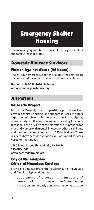# Emergency Shelter Housing

The following organizations represent the City's homeless shelter/outreach facilities.

## Domestic Violence Survivors

## Women Against Abuse (24 hours)

The 24-hour emergency shelter provides free services to anyone experiencing or survivors of domestic violence.

**Hotline: 1-866-723-3014 (24 hours) www.womenagainstabuse.org**

# All Persons

## Bethesda Project

Bethesda Project, is a nonprofit organization that provides shelter, housing, and support services to adults experiencing chronic homelessness in Philadelphia, operates eight different permanent housing locations throughout the city. Five of their locations are intended for men and women with mental illnesses or other disabilities, and they permanently house up to 135 individuals. These residents have access to varying levels of support services based on their needs.

**1630 South Street Philadelphia, PA 19146 215-985-1600 www.bethesdaproject.org**

# City of Philadelphia Office of Homeless Services

Provides homeless prevention assistance to individuals and families displaced due to:

- Department of Licenses and Inspections' determination that housing is unfit for human habitation, imminently dangerous or collapsed due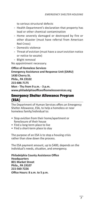to serious structural defects

- Health Department's declaration that property has lead or other chemical contamination
- Home severely damaged or destroyed by fire or other disaster (must have referral from American Red Cross)
- Domestic violence
- Threat of eviction (must have a court eviction notice or notice to vacate)
- Blight removal

No appointment necessary.

**Office of Homeless Services Emergency Assistance and Response Unit (EARU) 1430 Cherry St. Phila., PA 19102 215-686-7175 Mon - Thu from 9 a.m. - 3 p.m. www.philadelphiaofficeofhomelessservices.org** 

#### Emergency Shelter Allowance Program (ESA)

The Department of Human Services offers an Emergency Shelter Allowance, ESA, to help a homeless or near homeless family/individual to:

- Stop eviction from their home/apartment or foreclosure of their house
- Find a long-term place to live
- Find a short-term place to stay

The purpose of an ESA is to stop a housing crisis rather than slow down the process.

The ESA payment amount, up to \$400, depends on the individual's needs, situation, and emergency.

**Philadelphia County Assistance Office Headquarters 801 Market Street Phila., PA 19107 215-560-7226 Office Hours: 8 a.m. to 5 p.m.**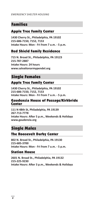## Families

#### Apple Tree Family Center

**1430 Cherry St., Philadelphia, PA 19102 215-686-7150, 7152, 7153 Intake Hours: Mon - Fri from 7 a.m. - 5 p.m.**

### Red Shield Family Residence

**715 N. Broad St., Philadelphia, PA 19123 215-787-2887 Intake Hours: 24 hours www.salvationarmypendel.org**

# Single Females

### Apple Tree Family Center

**1430 Cherry St., Philadelphia, PA 19102 215-686-7150, 7152, 7153 Intake Hours: Mon - Fri from 7 a.m. - 5 p.m.**

#### Gaudenzia House of Passage/Kirkbride Center

**111 N 48th St, Philadelphia, PA 19139 267-713-7778 Intake Hours: After 5 p.m., Weekends & Holidays www.gaudenzia.org**

# Single Males

#### The Roosevelt Darby Center

**802 N. Broad St., Philadelphia, PA 19130 215-685-3700 Intake Hours: Mon - Fri from 7 a.m. - 5 p.m.**

#### Station House

**2601 N. Broad St., Philadelphia, PA 19132 215-225-9230 Intake Hours: After 3 p.m., Weekends & Holidays**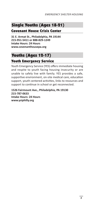# Single Youths (Ages 18-21)

Covenant House Crisis Center

**31 E. Armat St., Philadelphia, PA 19144 215-951-5411 or 888-829-1249 Intake Hours: 24 Hours www.covenanthousepa.org**

# Youths (Ages 12-17)

## Youth Emergency Service

Youth Emergency Service (YES) offers immediate housing and respite to youth facing housing insecurity or are unable to safely live with family. YES provides a safe, supportive environment, on-site medical care, education support, youth centered activities, links to resources and support to continue in school or get reconnected.

**1526 Fairmount Ave., Philadelphia, PA 19130 215-787-0633 Intake Hours: 24 Hours www.ysiphilly.org**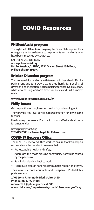# COVID Resources

#### PHLRentAssist program

Through the PHLRentAssist program, the City of Philadelphia offers emergency rental assistance to help tenants and landlords who have been impacted by COVID-19.

**Call 311 or 215-686-8686**

**www.phlrentassist.org PHLRentAssist c/o PHDC, 1234 Market Street 16th Floor, Philadelphia PA 19107.** 

#### Eviction Diversion program

The program is for landlords with tenants who have had difficulty paying rent due to a COVID-19 related hardship. Benefits of diversion and mediation include helping tenants avoid eviction, while also helping landlords avoid vacancies and unit turnover costs.

#### **www.eviction-diversion.phila.gov/#/**

#### Philly Tenant

Get help with eviction, living in, moving in, and moving out.

They provide free legal advice & representation for low-income tenants.

Live housing counselor - 11 a.m. - 7 p.m. and Weekend call backs for emergencies.

#### **www.phillytenant.org 267-443-2500 for Tenant Legal Aid Referral Line**

#### COVID-19 Recovery Office

The COVID-19 Recovery Office works to ensure that Philadelphia recovers from the pandemic in a way that:

- Protects public health and safety.
- Addresses the most pressing community hardships caused by the pandemic.
- Puts Philadelphians back to work.
- Helps businesses in hard-hit communities reopen and thrive.

Their aim is a more equitable and prosperous Philadelphia post-recovery.

**1401 John F. Kennedy Blvd. Suite 1430 Philadelphia, PA 19102 recoverPHL@phila.gov or call 311 www.phila.gov/departments/covid-19-recovery-office/**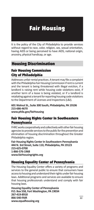# Fair Housing

It is the policy of the City of Philadelphia to provide services without regard to race, color, religion, sex, sexual orientation, having AIDS or being perceived to have AIDS, national origin, ancestry, physical handicap, or age.

# Housing Discrimination

# Fair Housing Commission City of Philadelphia

Addresses unfair rental practices. A tenant may file a complaint with the Philadelphia Fair Housing Commission if rent is current and the tenant is being threatened with illegal eviction, if a landlord is raising rent while housing code violations exist, if another term of a lease is being violated, or if a landlord is retaliating against a tenant for reporting housing code violations to the Department of Licenses and Inspections (L&I).

#### **601 Walnut St., Suite 300 South, Philadelphia, PA 19106 215-686-4670 www.phila.gov/fairhousing**

### Fair Housing Rights Center In Southeastern Pennsylvania

FHRC works cooperatively and collectively with other fair housing agencies to provide services to the public for the prevention and elimination of housing discrimination throughout the Greater Philadelphia region.

**Fair Housing Rights Center In Southeastern Pennsylvania 444 N. 3rd Street, Suite 110, Philadelphia, PA 19123 215-625-0700 1-866-576-1968 www.fairhousingrights.org**

## Housing Equality Center of Pennsylvania

The Housing Equality Center offers a variety of programs and services to the general public to ensure that consumers have access to housing and understand their rights under fair housing laws. Additional programs and services are available to ensure that housing professionals understand and comply with fair housing laws.

**Housing Equality Center of Pennsylvania P.O. Box 558, Fort Washington, PA 19034 267-419-8918 866-540-FAIR www.equalhousing.org**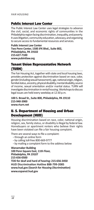#### Public Interest Law Center

The Public Interest Law Center uses legal strategies to advance the civil, social, and economic rights of communities in the Philadelphia region facing discrimination, inequality, and poverty. It uses litigation, community education, advocacy, and organizing to secure access to fundamental resources and services.

**Public Interest Law Center Two Penn Center, 1500 JFK Blvd., Suite 802, Philadelphia, PA 19102 215-627-7100 www.pubintlaw.org**

#### Tenant Union Representative Network (TURN)

The Fair Housing Act, together with state and local housing laws, provides protection against discrimination based on race, color, gender (including sexual harassment), age, national origin, religion, familial status, ancestry, physical disability, mental disability, source of income, sexual orientation and/or marital status. TURN will investigate discrimination in rental housing. Workshops to discuss legal issues are held every weekday at 12:30 p.m.

**100 S. Broad St., Suite 800, Philadelphia, PA 19110 215-940-3900 www.rturn.net**

### U. S. Department of Housing and Urban Development (HUD)

Housing discrimination based on race, color, national origin, religion, sex, family status, or disability is illegal by federal law. Homebuyers or apartment renters who believe their rights have been violated can file a fair housing complaint.

There are several ways to file a complaint:

- through an online form
- by calling toll-free 800-669-9777
- by mailing a complaint form to the address below

**Wanamaker Building 100 Penn Square East, 11th Floor, Philadelphia, PA 19107 215-656-0500 TDD for deaf and hard of hearing: 215-656-3450 HUD Discrimination Hotline 888-799-2085 www.hud.gov (Search for** *Housing Discrimination***) www.espanol.hud.gov**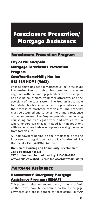# Foreclosure Prevention/ Mortgage Assistance

# Foreclosure Prevention Program

## City of Philadelphia

# Mortgage Foreclosure Prevention Program SaveYourHomePhilly Hotline 215-334-HOME (4663)

Philadelphia's Residential Mortgage & Tax Foreclosure Prevention Program gives homeowners a way to negotiate with their mortgage lenders, with the support of housing counselors, volunteer attorneys, and the oversight of the court system. The Program is available to Philadelphia homeowners whose properties are in the process of mortgage foreclosure. The property must be occupied and serve as the primary residence of the homeowner. The Program provides free housing counseling and free legal advice and offers a forum where lenders can engage in good faith negotiations with homeowners to develop a plan for saving the home from foreclosure.

All homeowners behind on their mortgage or facing foreclosure are urged to contact the SaveYourHomePhilly Hotline at 215-334-HOME (4663).

#### **Division of Housing and Community Development 215-334-HOME (4663)**

**TTY for deaf and hard of hearing: 215-686-9803 www.phila.gov/dhcd (**Search for *SaveYourHomePhilly***)**

## Mortgage Assistance

## Homeowners' Emergency Mortgage Assistance Program (HEMAP)

This program helps homeowners who, through no fault of their own, have fallen behind on their mortgage payments and are in danger of foreclosure. HEMAP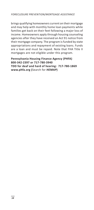brings qualifying homeowners current on their mortgage and may help with monthly home loan payments while families get back on their feet following a major loss of income. Homeowners apply through housing counseling agencies after they have received an Act 91 notice from their mortgage company. The program is funded by state appropriations and repayment of existing loans. Funds are a loan and must be repaid. Note that FHA Title II mortgages are not eligible under this program.

#### **Pennsylvania Housing Finance Agency (PHFA) 800-342-2397 or 717-780-3940 TDD for deaf and hard of hearing: 717-780-1869 www.phfa.org (**Search for *HEMAP***)**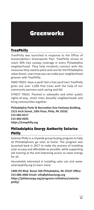# Greenworks

## TreePhilly

TreePhilly was launched in response to the Office of Sustainability's Greenworks Plan. TreePhilly strives to reach 30% tree canopy coverage in every Philadelphia neighborhood. They help residents connect with the resources they need to plant and care for the Philadelphia urban forest. Learn how you can make your neighborhood greener with TreePhilly.

YARD TREES: Have a yard? Get a free yard tree! TreePhilly gives out over 1,000 free trees with the help of our community partners each spring and fall.

STREET TREES: Planted in sidewalks and other public rights-of-way, street trees beautify neighborhoods and bring communities together.

**Philadelphia Parks & Recreation One Parkway Building, 1515 Arch Street, 10th Floor, Phila, PA 19102 215-683-0217 215-683-0205 https://treephilly.org**

### Philadelphia Energy Authority Solarize Philly

Solarize Philly is a citywide group buying program to help all Philadelphians go solar at home. The program was launched back in 2017 to make the process of installing solar as easy and affordable as possible, while supporting job training at the and improving access to clean energy for all.

Households interested in installing solar can visit www. solarizephilly.org to learn more.

**1400 JFK Blvd. Room 566 Philadelphia, PA 19107 Office: 215-686-4483 Email: info@philaenergy.org https://philaenergy.org/programs-initiatives/solarizephilly/**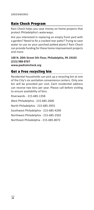#### Rain Check Program

Rain Check helps you save money on home projects that protect Philadelphia's waterways.

Are you interested in replacing an empty front yard with a garden? Need to fix a cracked rear patio? Trying to save water to use on your parched potted plants? Rain Check can provide funding for these home improvement projects and more.

**100 N. 20th Street 5th Floor, Philadelphia, PA 19103 (215) 988-8767 www.pwdraincheck.org**

#### Get a Free recycling bin

Residential households can pick up a recycling bin at one of the City's six sanitation convenience centers. Only one bin will be provided per visit. Each residential address can receive two bins per year. Please call before visiting to ensure availability of bins.

Riverwards - 215-685-1358 West Philadelphia - 215-685-2600 North Philadelphia - 215-685-3955 Southwest Philadelphia - 215-685-4290 Northwest Philadelphia - 215-685-2502 Northeast Philadelphia - 215-685-8072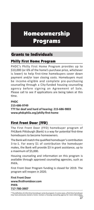# Homeownership Programs

# Grants to Individuals

## Philly First Home Program

PHDC's Philly First Home Program provides up to \$10,000 (or 6% of the home's purchase price, whichever is lower) to help first-time homebuyers cover down payment and/or loan closing costs. Homebuyers must be income-eligible and complete pre-purchasing counseling through a City-funded housing counseling agency before signing an Agreement of Sale. Please call to see if applications are being taken at this time.

#### **PHDC 215-686-9749 TTY for deaf and hard of hearing: 215-686-9803 www.phdcphila.org/philly-first-home**

# First Front Door (FFD)

The First Front Door (FFD) homebuyer program of FHLBank Pittsburgh (Bank) is a way for potential first-time homebuyers to become homeowners.

The Bank will match the qualified homebuyer's contribution 3-to-1. For every \$1 of contribution the homebuyer makes, the Bank will provide \$3 in grant assistance, up to a maximum of \$5,000.

Housing counseling and information on this program is available through approved counseling agencies, such as PHFA.

First Front Door Program funding is closed for 2019. The program will reopen in 2020.

**First Front Door www.firstfrontdoor.com PHFA 717-780-3907**

\* The definition of a first-time homebuyer varies by program. In some cases, a first-time homebuyer may have previously owned a home. Contact a housing counseling agency for more information.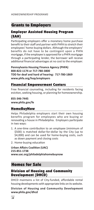# Grants to Employers

## Employer Assisted Housing Program (EAH)

Participating employers offer a monetary home purchase benefit to their staff and partner with PHFA to stretch their employees' home-buying dollars. Although the employers' benefits do not have to be contingent upon a PHFA mortgage, if the employee is approved for a PHFA mortgage through a participating lender, the borrower will receive additional financial advantages at no cost to the employer.

**Pennsylvania Housing Finance Agency (PHFA) 800-822-1174 or 717-780-3800 TDD for deaf and hard of hearing: 717-780-1869 www.phfa.org/hop/employers**

#### Financial Empowerment Centers

Free financial counseling, including for residents facing eviction, seeking housing, or planning for homeownership.

**855-346-7445 www.phila.gov/fe**

#### HomeBuyNow

Helps Philadelphia employers start their own housing benefits program for employees who are buying or renovating a house in Philadelphia. Employers participate in two ways:

- 1. A one-time contribution to an employee (minimum of \$500) is matched dollar-for-dollar by the City (up to \$4,000) and can be used for home-buying costs, such as down payment and closing costs
- 2. Home-buying education

**Urban Affairs Coalition (UAC) 215-851-1738 www.uac.org/philadelphiahomebuynow**

## Homes for Sale

## Division of Housing and Community Development (DHCD)

DHCD maintains a list of City-funded, affordable rental housing developments with appropriate links on its website.

**Division of Housing and Community Development www.phila.gov/dhcd**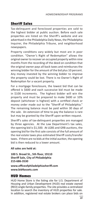## Sheriff Sales

Tax-delinquent and foreclosed properties are sold to the highest bidder at public auction. Before each sale properties are listed on the Sheriff's website and are advertised in the Philadelphia Daily News, the Philadelphia Inquirer, the Philadelphia Tribune, and neighborhood newspapers.

Property conditions vary widely but most are in poor condition. "Owner's Right of Redemption" allows the original owner to recover an occupied property within nine months from the recording of the deed on condition that the original owner pays all back taxes and reimburses the winning bidder for the amount of the bid plus 10 percent. Any money invested by the winning bidder to improve the property could be lost. There is no Owner's Right of Redemption for a vacant property.

For a mortgage foreclosure, the lowest bid that can be offered is \$600 and each successive bid must be made in \$100 increments. The highest bidder will win the property and must be prepared to make \$600 or 10% deposit (whichever is highest) with a certified check or money order made out to the "Sheriff of Philadelphia." The remaining balance must be paid within 30 days of the sale. An extension of time to pay the balance is rare but may be granted by the Sheriff upon written request.

Sheriff's sales of tax-delinquent properties are managed by three agencies. At the Law Department's tax sales, the opening bid is \$1,500. At LGBS and GRB auctions, the opening bid for the first sale consists of the full amount of the real estate taxes plus estimated Sheriff costs/transfer taxes. If there are no bids at the initial auction, the opening bid is then reduced to a lower amount.

#### **All sales are held at:**

**100 S. Broad St., 5th floor, 19110 Sheriff Sale, City of Philadelphia 215-686-3530**

**www.officeofphiladelphiasheriff.com www.bid4assets.com** 

#### HUD Homes

HUD Home Store is the listing site for U.S. Department of Housing and Urban Development (HUD) real estate owned (REO) single-family properties. The site provides a centralized location to search the inventory of HUD properties for sale. In addition, registered real estate brokers can place bids on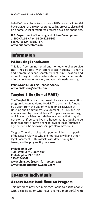*HOMEOWNERSHIP PROGRAMS*

behalf of their clients to purchase a HUD property. Potential buyers MUST use a HUD-registered selling broker to place a bid on a home. A list of registered brokers is available on the site.

**U.S. Department of Housing and Urban Development 1-800-CALL-FHA or 1-800-225-5342 8 a.m. - 8 p.m. Mon. - Fri. www.hudhomestore.com** 

# Information

#### PAHousingSearch.com

This is a free, online rental and homeownership service that links people with appropriate housing. Tenants and homebuyers can search by rent, size, location and more. Listings include market-rate and affordable rentals, affordable for-sale housing, and special-needs housing.

#### **Pennsylvania Housing Finance Agency www.PAHousingSearch.com**

## Tangled Title (HomeSMART)

The Tangled Title is a component of a vacancy prevention program known as HomeSMART. The program is funded by a grant from the City of Philadelphia's Division of Housing and Community Development (DHCD), and it is administered by Philadelphia VIP. If persons are renting, or living with a friend or relative in a house that they do not own, or if persons live in a house that is thought to be their property, or have a rent-to-own or lease/purchase agreement, a homeownership problem may occur.

Tangled Title also assists with persons living in properties of deceased relatives who did not have a will and other legal documents. This assists with determining title issues, and helping rectify concerns.

**Philadelphia VIP 1500 Walnut St., Suite 400 Philadelphia, PA 19102 215-523-9569 www.phila.gov (**Search for *Tangled Title***) www.tangledtitlefund.weebly.com**

# Loans to Individuals

#### Access Home Modification Program

This program provides mortgage loans to assist people with disabilities, or who have a family member(s) with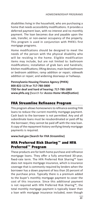disabilities living in the household, who are purchasing a home that needs accessibility modifications. It provides a deferred payment loan, with no interest and no monthly payment. The loan becomes due and payable upon the sale, transfer, or non-owner occupancy of the property. This program is used in conjunction with PHFA's first mortgage programs.

Home modifications should be designed to meet the needs of the person with the physical disability who will be residing in the home. Eligible modification items may include, but are not limited to: bathroom modifications; installation of grab bars and handrails; kitchen modifications; lifting devices; main level bathroom or bedroom addition; ramp addition or repair; sidewalk addition or repair; and widening doorways or hallways.

**Pennsylvania Housing Finance Agency (PHFA) 800-822-1174 or 717-780-3800 TDD for deaf and hard of hearing: 717-780-1869 www.phfa.org (**Search for *Access Home Modification***)**

## FHA Streamline Refinance Program

This program allows homeowners to refinance existing FHA loans to reduce the current monthly mortgage payment. Cash back to the borrower is not permitted. Any and all subordinate loans must be resubordinated or paid off by the borrower; they cannot be paid off with the new loan. A copy of the repayment history verifying timely mortgage payments is required.

#### **www.hud.gov (Search for** *FHA Streamline***)**

## HFA Preferred Risk Sharing™ and HFA Preferred™ Program

These products are for both home purchase and refinance mortgage loans. They offer a fully amortized 30-year, fixed-rate term. The HFA Preferred Risk Sharing™ loan does not require mortgage insurance, which is insurance coverage that is commonly required by lenders when the borrower has a down payment of less than 20 percent of the purchase price. Typically there is a premium added to the buyer's monthly mortgage payment to cover the cost of this insurance. Since this additional payment is not required with HFA Preferred Risk Sharing™, the total monthly mortgage payment is typically lower than a loan with mortgage insurance included, even though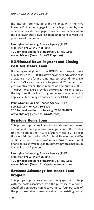the interest rate may be slightly higher. With the HFA Preferred™ loan, mortgage insurance is provided by one of several private mortgage insurance companies when the borrower puts down less than 20 percent toward the purchase of the home.

**Pennsylvania Housing Finance Agency (PHFA) 800-822-1174 or 717-780-3800 TDD for deaf and hard of hearing: 717-780-1869 www.phfa.org (**Search for *HFA Preferred***)**

### HOMEstead Down Payment and Closing Cost Assistance Loan

Homebuyers eligible for the HOMEstead program may qualify for up to \$10,000 in down payment and closing-cost assistance in the form of a no-interest, second mortgage loan. HOMEstead funds are forgiven at 20 percent per year over five years. The minimum loan amount is \$1,000. The first mortgage is provided by PHFA at the same rate as the Keystone Home Loan program. A fee of one percent is applicable, but it may be financed by the HOMEstead loan.

**Pennsylvania Housing Finance Agency (PHFA) 800-822-1174 or 717-780-3800 TDD for deaf and hard of hearing: 717-780-1869 www.phfa.org (**Search for *HOMEstead***)**

## Keystone Home Loan

This program provides loans to homebuyers who meet income and home purchase price guidelines. It provides financing on loans insured/guaranteed by Federal Housing Administration (FHA), Rural Development (RD) or Department of Veterans' Affairs (VA). Conventional financing is also available on this program with a maximum loan value of 80 percent.

**Pennsylvania Housing Finance Agency (PHFA) 800-822-1174 or 717-780-3800 TDD for deaf and hard of hearing: 717-780-1869 www.phfa.org (**Search for *Keystone Home Loan***)**

# Keystone Advantage Assistance Loan Program

This program provides a second mortgage loan to help with the costs associated with the purchase of a home. Qualified borrowers can receive up to four percent of the purchase price or market value of an existing home,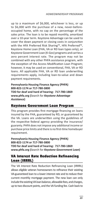up to a maximum of \$6,000, whichever is less, or up to \$6,000 with the purchase of a new, never-beforeoccupied home, with no cap on the percentage of the sales price. The loan is to be repaid monthly, amortized over a 10-year term. Keystone Advantage can be used to cover the down payment or closing costs in conjunction with the HFA Preferred Risk Sharing™, HFA Preferred™, Keystone Home Loan (FHA, VA or RD loan types only), or Keystone Government Loan (K-Gov) programs and carries a zero percent interest rate. The program may not be combined with any other PHFA assistance program, with the exception of the Access Modification Loan Program; however, it may be used on conventional, FHA, VA or RD loans. All applicable FHA, VA or RD loan underwriting requirements apply, including loan-to-value and down payment requirements.

**Pennsylvania Housing Finance Agency (PHFA) 800-822-1174 or 717-780-3800 TDD for deaf and hard of hearing: 717-780-1869 www.phfa.org (**Search for *Keystone Advantage Assistance***)**

#### Keystone Government Loan Program

This program provides first mortgage financing on loans insured by the FHA, guaranteed by RD, or guaranteed by the VA. Loans are underwritten using the guidelines of the respective federal agency providing the insurance/ guaranty. PHFA does not impose any additional income or purchase price limits and there is no first-time homebuyer requirement.

**Pennsylvania Housing Finance Agency (PHFA) 800-822-1174 or 717-780-3800 TDD for deaf and hard of hearing: 717-780-1869 www.phfa.org (**Search for *Keystone Government Loan***)**

## VA Interest Rate Reduction Refinancing Loan (IRRRL)

The VA Interest Rate Reduction Refinancing Loan (IRRRL) allows eligible veteran homeowners to refinance their existing VA-guaranteed loan to a lower interest rate and to reduce their current monthly mortgage payment. The new loan can only include the existing VA loan balance, allowable fees, and charges, up to two discount points, and the VA funding fee. Cash back to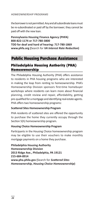the borrower is not permitted. Any and all subordinate loans must be re-subordinated or paid off by the borrower; they cannot be paid off with the new loan.

**Pennsylvania Housing Finance Agency (PHFA) 800-822-1174 or 717-780-3800 TDD for deaf and hard of hearing: 717-780-1869 www.phfa.org (**Search for *VA Interest Rate Reduction***)**

## Public Housing Purchase Assistance

## Philadelphia Housing Authority (PHA) Homeownership

The Philadelphia Housing Authority (PHA) offers assistance to residents in PHA housing programs who are interested in making the leap from renting to homeownership. PHA's Homeownership Division sponsors first-time homebuyer workshops where residents can learn more about financial planning, credit review and repair, affordability, getting pre-qualified for a mortgage and identifying real estate agents. PHA offers two homeownership programs:

#### **Scattered Sites Homeownership Program**

PHA residents of scattered sites are offered the opportunity to purchase the home they currently occupy through the Section 5(h) homeownership program.

#### **Housing Choice Homeownership Program**

Participants in the Housing Choice homeownership program may be eligible to use their vouchers to make monthly mortgage payments on a home they purchase.

**Philadelphia Housing Authority Homeownership Division 2013 Ridge Ave., Philadelphia, PA 19121 215-684-8914 www.pha.phila.gov (**Search for *Scattered Sites Homeownership, Housing Choice Homeownership***)**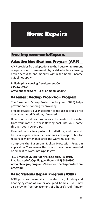# Home Repairs

# Free Improvements/Repairs

# Adaptive Modifications Program (AMP)

AMP provides free adaptations to the house or apartment of a person with permanent physical disabilities, allowing easier access to and mobility within the home. Income guidelines apply.

**Philadelphia Housing Development Corp. 215-448-2160 www.phdcphila.org (Click on** *Home Repair***)**

## Basement Backup Protection Program

The Basement Backup Protection Program (BBPP) helps prevent home flooding by providing:

Free backwater valve installation to reduce backups. Free downspout modifications, if needed.

Downspout modifications may also be needed if the water from your roof's gutter is flowing back into your home through your sewer pipe.

Licensed contractors perform installations, and the work has a one-year warranty. Residents are responsible for repairs or maintenance after the warranty expires.

Complete the Basement Backup Protection Program application. You can mail the form to the address provided or email it to waterinfo@phila.gov.

 **1101 Market St. 6th floor Philadelphia, PA 19107 Email:waterinfo@phila.gov Phone:(215) 685-6300 www.phila.gov/programs/basement-backup-protectionprogram/**

# Basic Systems Repair Program (BSRP)

BSRP provides free repairs to the electrical, plumbing and heating systems of owner-occupied homes. BSRP may also provide free replacement of a house's roof if major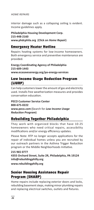#### *HOME REPAIRS*

interior damage such as a collapsing ceiling is evident. Income guidelines apply.

#### **Philadelphia Housing Development Corp. 215-448-2160 www.phdcphila.org (Click on** *Home Repair***)**

#### Emergency Heater Hotline

Repairs heating systems for low-income homeowners. Both emergency service and preventive maintenance are provided.

**Energy Coordinating Agency of Philadelphia 215-609-1443 www.ecasavesenergy.org/pa-energy-services**

### Low Income Usage Reduction Program (LIURP)

Can help customers lower the amount of gas and electricity used. Installs free weatherization measures and provides conservation education.

**PECO Customer Service Center 800-675-0222 www.peco.com (**Search for *Low Income Usage Reduction Program***)**

## Rebuilding Together Philadelphia

They work with organized blocks that have 10-25 homeowners who need critical repairs, accessibility modifications and/or energy efficiency updates.

Please Note: RTP no longer accepts applications for the repair of individual homes unless you are recruited by our outreach partners in the Asthma Trigger Reduction program or the Middle Neighborhoods Initiative.

**215 965 0777 4355 Orchard Street, Suite 2R, Philadelphia, PA 19124 info@rebuildingphilly.org www.rebuildingphilly.org**

## Senior Housing Assistance Repair Program (SHARP)

Home repairs include replacing exterior doors and locks, rebuilding basement steps, making minor plumbing repairs and replacing electrical switches, outlets and fixtures.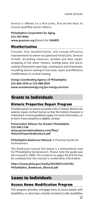Service is offered on a first-come, first-served basis to income-qualified senior citizens.

**Philadelphia Corporation for Aging 215-765-9040 www.pcacares.org (**Search for *SHARP***)**

#### Weatherization

Provides free weatherization and energy-efficiency improvements to owner-occupied and rental units. Services include: air-sealing measures; window and door repair; wrapping of hot water heaters, heating pipes and ducts; sealing of basement openings, crawlspaces and chaseways; insulating and air sealing of roof area; repair and efficiency modifications to central heating.

#### **Energy Coordinating Agency of Philadelphia 215-609-1076 or 215-988-0929 www.ecasavesenergy.org/pa-energy-services**

# Grants to Individuals

## Historic Properties Repair Program

Provides grants to owner-occupied units in historic districts for exterior repairs to their homes so that the historic character is maintained. Income guidelines apply. For more information, or to learn if your property is eligible, contact:

#### **Preservation Alliance for Greater Philadelphia 215-546-1146 www.preservationalliance.com/files/ HistoricPropertiesBrochure.pdf**

**Philadelphia Rowhouse Manual:** A Practical Guide for homeowners

The Rowhouse manual link below is a phenomenal read for Philadelphia homeowners. Please note the guide was last revised in 2008. The contents on pages 49 and 50 may be outdated but the manual is moderately informative.

**https://www.phila.gov/media/20190521124726/ Philadelphia\_Rowhouse\_Manual.pdf**

# Loans to Individuals

## Access Home Modification Program

This program provides mortgage loans to assist people with disabilities, or who have a family member(s) with disabilities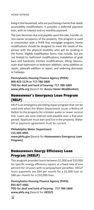#### *HOME REPAIRS*

living in the household, who are purchasing a home that needs accessibility modifications. It provides a deferred payment loan, with no interest and no monthly payment.

The loan becomes due and payable upon the sale, transfer, or non-owner occupancy of the property. This program is used in conjunction with a PHFA first mortgage program. Home modifications should be designed to meet the needs of the person with the physical disability who will be residing in the home. Eligible modification items may include, but are not limited to: bathroom modifications; installation of grab bars and handrails; kitchen modifications; lifting devices; main level bathroom or bedroom addition; ramp addition or repair; sidewalk addition or repair; and widening doorways or hallways.

**Pennsylvania Housing Finance Agency (PHFA) 800-822-1174 or 717-780-3800 TDD for deaf and hard of hearing: 717-780-1869 www.phfa.org (**Search for *Access Home Modification***)**

#### Homeowner's Emergency Loan Program (HELP)

HELP is an emergency plumbing repair program that can be used only when the Water Department issues a Notice of Defect to the property for a broken water or sewer service line. Loans are zero-interest and payable over a five-year period. Applicant must own and live in the property. Water bill or payment agreement must be current.

**Philadelphia Water Department 215-685-4901 www.phila.gov (**Search for *Homeowners Emergency Loan Program***)**

### Homeowners Energy Efficiency Loan Program (HEELP)

This program provides loans between \$1,000 and \$10,000 for specific energy efficiency repairs at a fixed rate of one percent for 10 years with no prepayment penalties. HEELP loans payments are \$44 per month for a \$5,000 loan or \$88 per month for a \$10,000 loan.

**Pennsylvania Housing Finance Agency (PHFA) 855-827-3466 TDD for deaf and hard of hearing: 717-780-1869 www.phfa.org (**Search for *HEELP***)**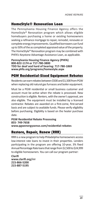### HomeStyle® Renovation Loan

The Pennsylvania Housing Finance Agency offers the HomeStyle® Renovation program which allows eligible homebuyers purchasing a home or existing homeowners seeking a refinance mortgage to repair, remodel, renovate or complete energy improvements. Qualified borrowers can fund up to 50% of the as completed appraised value of the property. The HomeStyle® Renovation program may be combined with PHFA's Keystone Advantage Assistance Loan, as applicable.

**Pennsylvania Housing Finance Agency (PHFA) 800-822-1174 or 717-780-3800 TDD for deaf and hard of hearing: 717-780-1869 www.phfa.org/programs/homestyle.aspx**

## PGW Residential-Sized Equipment Rebates

Residents can earn rebates between \$500 and \$1,500 from PGW when replacing old natural gas furnaces and boiler equipment.

Must be a PGW residential or small business customer and account must be active when the rebate is processed. New construction is eligible. Renters, with the owner's approval, are also eligible. The equipment must be installed by a licensed contractor. Rebates are awarded on a first-come, first-served basis and are subject to available funds. Please verify eligibility before purchasing. Eligibility is based on the heater purchase date.

**PGW Residential Rebate Processing 855- 749-7658 www.pgwenergysense.com/residential-rebates**

#### Restore, Repair, Renew (RRR)

RRR is a new program to help Philadelphia homeowners access low-interest rate loans to invest in their properties. Lenders participating in the program are offering 10-year, 3% fixed Annual Percentage Rate loans that range from \$2,500 to \$24,999 to eligible homeowners. You can call our program partner:

**Clarifi www.clarifi.org/rrr 215-866-5200 215-887-5195**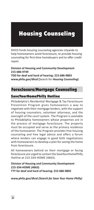# Housing Counseling

DHCD funds housing counseling agencies citywide to help homeowners avoid foreclosure, to provide housing counseling for first-time homebuyers and to offer credit repair.

#### **Division of Housing and Community Development 215-686-9749**

**TDD for deaf and hard of hearing: 215-686-9803 www.phila.gov/dhcd (**Search for *Housing Counseling***)**

# Foreclosure/Mortgage Counseling

# SaveYourHomePhilly Hotline

Philadelphia's Residential Mortgage & Tax Foreclosure Prevention Program gives homeowners a way to negotiate with their mortgage lenders, with the support of housing counselors, volunteer attorneys, and the oversight of the court system. The Program is available to Philadelphia homeowners whose properties are in the process of mortgage foreclosure. The property must be occupied and serve as the primary residence of the homeowner. The Program provides free housing counseling and free legal advice and offers a forum where lenders can engage in good faith negotiations with homeowners to develop a plan for saving the home from foreclosure.

All homeowners behind on their mortgage or facing foreclosure are urged to contact the SaveYourHomePhilly Hotline at 215-334-HOME (4663).

**Division of Housing and Community Development 215-334-HOME (4663) TTY for deaf and hard of hearing: 215-686-9803**

**www.phila.gov/dhcd** *(Search for Save Your Home Philly)*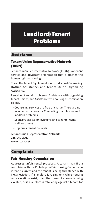# Landlord/Tenant Problems

# Assistance

#### Tenant Union Representative Network (TURN)

Tenant Union Representative Network (TURN) is a tenant service and advocacy organization that promotes the human right to housing.

They offer Tenant Rights Workshops, Individual Counseling, Hotline Assistance, and Tenant Union Organizing Assistance.

Rental unit repair problems, Assistance with organizing tenant unions, and Assistance with housing discrimination claims.

- Counseling services are free of charge. There are no income restrictions for Counseling. Handles tenant/ landlord problems
- Sponsors classes on evictions and tenants' rights (call for times)
- Organizes tenant councils

**Tenant Union Representative Network 215-940-3900 www.rturn.net**

# Complaints

## Fair Housing Commission

Addresses unfair rental practices. A tenant may file a complaint with the Philadelphia Fair Housing Commission if rent is current and the tenant is being threatened with illegal eviction, if a landlord is raising rent while housing code violations exist, if another term of a lease is being violated, or if a landlord is retaliating against a tenant for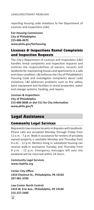#### *LANDLORD/TENANT PROBLEMS*

reporting housing code violations to the Department of Licenses and Inspections (L&I).

**Fair Housing Commission City of Philadelphia 215-686-4670 www.phila.gov/fairhousing**

## Licenses & Inspections Rental Complaints and Inspection Requests

The City's Department of Licenses and Inspections (L&I) handles rental complaints and inspection requests and outlines the responsibilities of owners, tenants and landlords for maintaining houses and apartments in a safe and clean condition. L&I enforces the City of Philadelphia's Housing Code and investigates complaints about code violations. L&I addresses problems such as fire safety, basic equipment and facilities in rental properties, water and sewage systems, heating, and repairs.

**Licenses & Inspections City of Philadelphia 215-686-8686 or dial 311 for City information www.phila.gov/li**

## Legal Assistance

## Community Legal Services

Represents low-income tenants in disputes with landlords. Phone calls are accepted Monday through Friday from 11 a.m. - 7 p.m. Walk-in assistance for renters of privately owned property is available Monday and Thursday from 9 a.m. - 12 p.m. Renters living in subsidized housing can receive walk-in assistance Tuesday and Thursday from 9 a.m. - 12 p.m. Emergency messages left over the weekend will be returned within 24 hours.

**Community Legal Services www.clsphila.org**

**Center City Office: 1424 Chestnut St., Philadelphia, PA 19102 267-981-3700**

**Law Center North Central: 1410 W. Erie Ave., Philadelphia, PA 19140 215-227-2400**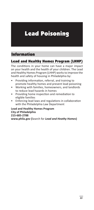# Lead Poisoning

# Information

## Lead and Healthy Homes Program (LHHP)

The conditions in your home can have a major impact on your health and the health of your children. The Lead and Healthy Homes Program (LHHP) works to improve the health and safety of housing in Philadelphia by:

- Providing information, referral, and training to promote healthy homes and prevent lead poisoning
- Working with families, homeowners, and landlords to reduce lead hazards in homes
- Providing home inspection and remediation to eligible families
- Enforcing lead laws and regulations in collaboration with the Philadelphia Law Department

**Lead and Healthy Homes Program City of Philadelphia 215-685-2788 www.phila.gov (**Search for *Lead and Heathy Homes***)**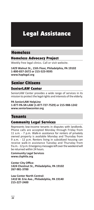# Legal Assistance

# Homeless

#### Homeless Advocacy Project

Weekly free legal clinics. Call or visit website.

**1429 Walnut St., 15th Floor, Philadelphia, PA 19102 1-800-837-2672 or 215-523-9595 www.haplegal.org**

## Senior Citizens

#### SeniorLAW Center

SeniorLAW Center provides a wide range of services in its mission to protect the legal rights and interests of the elderly.

#### **PA SeniorLAW HelpLine 1-877-PA-SR-LAW (1-877-727-7529) or 215-988-1242 www.seniorlawcenter.org**

# Tenants

#### Community Legal Services

Represents low-income tenants in disputes with landlords. Phone calls are accepted Monday through Friday from 11 a.m. - 7 p.m. Walk-in assistance for renters of privately owned property is available Monday and Thursday from 9 a.m. - 12 p.m. Renters living in subsidized housing can receive walk-in assistance Tuesday and Thursday from 9 a.m. - 12 p.m. Emergency messages left over the weekend will be returned within 24 hours.

**Community Legal Services www.clsphila.org**

**Center City Office: 1424 Chestnut St., Philadelphia, PA 19102 267-981-3700**

**Law Center North Central: 1410 W. Erie Ave., Philadelphia, PA 19140 215-227-2400**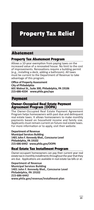# Property Tax Relief

## Abatement

## Property Tax Abatement Program

Allows a 10-year exemption from paying taxes on the increased value of a renovated house. No limit to the cost of improvements. Renovations require a building permit (e.g., installing a deck, adding a bathroom). All taxes must be current to the Department of Revenue to take advantage of this program.

**Office of Property Assessment City of Philadelphia 601 Walnut St., Suite 300, Philadelphia, PA 19106 215-686-4334 www.phila.gov/opa**

## Payment

### Owner-Occupied Real Estate Payment Agreement Program (OOPA)

The Owner-Occupied Real Estate Payment Agreement Program helps homeowners with past due and delinquent real estate taxes. It allows homeowners to make monthly payments based on household income and family size. Applicants must remain current on future real estate taxes. For more information or to apply, visit their website.

**Department of Revenue**

**Municipal Services Building 1401 John F. Kennedy Blvd., Concourse Level Philadelphia, PA 19102 215-686-6442 www.phila.gov/OOPA**

## Real Estate Tax Installment Program

Owner-occupant homeowners can pay their current year real estate tax in monthly installments throughout the year that they are due. Applications are available in real estate tax bills or at:

**Department of Revenue Municipal Services Building 1401 John F. Kennedy Blvd., Concourse Level Philadelphia, PA 19102 215-686-6442 www.phila.gov/revenue/installment-plan**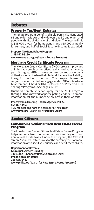# Rebates

## Property Tax/Rent Rebates

The rebate program benefits eligible Pennsylvanians aged 65 and older; widows and widowers age 50 and older; and people with disabilities age 18 and older. The income limit is \$35,000 a year for homeowners and \$15,000 annually for renters, and half of Social Security income is excluded.

**Property Tax/Rent Rebate Program 1-888-222-9190 www.revenue.pa.gov (Search Rebate Program)** 

## Mortgage Credit Certificate Program

The Mortgage Credit Certificate (MCC) program provides a limited tax credit as an offset against ordinary income, permitting qualified homeowners to reduce—on a dollar-for-dollar basis—their federal income tax liability, if any, for the life of the loan. This program is used in conjunction with a first mortgage under PHFA's Keystone Government (K-Gov) or HFA Preferred™ or Preferred Risk Sharing™ Programs. (See pages 17-19)

Qualified homebuyers can apply for the MCC Program through PHFA's network of participating lenders. For more information call the number below or visit their website.

#### **Pennsylvania Housing Finance Agency (PHFA) 855-827-3466**

**TDD for deaf and hard of hearing: 717-780-1869 www.phfa.org (**Search for *Mortgage Credit***)**

# Senior Citizens

#### Low-Income Senior Citizen Real Estate Freeze Program

The Low-Income Senior Citizen Real Estate Freeze Program helps senior citizen homeowners save money on their annual real estate taxes. Under the program, the City will "freeze" your real estate taxes for the current year. For more information or to see if you qualify, call or visit the website.

**Department of Revenue Municipal Services Building 1401 John F. Kennedy Blvd., Concourse Level Philadelphia, PA 19102 215-686-6442 www.phila.gov (**Search for *Real Estate Freeze Program***)**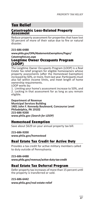# Tax Relief

## Catastrophic Loss-Related Property **Assesment**

Reduce property assessment for properties that have lost 50 percent of more of their value due to fire or natural disaster.

#### **215-686-6488**

**www.phila.gov/OPA/AbatementsExemptions/Pages/ CatastrophicLoss.aspx**

### Longtime Owner Occupants Program (LOOP)

The Longtime Owner Occupants Program (LOOP) is a Real Estate Tax relief program for eligible homeowners whose property assessments (after the Homestead Exemption) increased by 50%, or more, from last year. Participants must also fall within income limits, and meet length of home ownership requirements.

LOOP works by:

1. Limiting your home's assessment increase to 50%, and 2. Locking in that assessment for as long as you remain eligible.

**Department of Revenue Municipal Services Building 1401 John F. Kennedy Boulevard, Concourse Level Philadelphia, PA 19102 215-686-9200 www.phila.gov** *(Search for LOOP)*

## Homestead Exemption

Save about \$629 on your annual property tax bill.

**215-686-9200**

**www.phila.gov/homestead**

## Real Estate Tax Credit for Active Duty

Provides a tax credit for active military members called to duty outside of Pennsylvania.

**215-686-6488 www.phila.gov/revenue/active-duty-tax-credit**

## Real Estate Tax Deferral Program

Defer property tax increases of more than 15 percent until the property is transferred or sold.

**215-686-6442**

**www.phila.gov/real-estate-relief**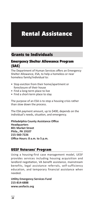# Rental Assistance

# Grants to Individuals

## Emergency Shelter Allowance Program (EAS)

The Department of Human Services offers an Emergency Shelter Allowance, ESA, to help a homeless or near homeless family/individual to:

- Stop eviction from their home/apartment or foreclosure of their house
- Find a long-term place to live
- Find a short-term place to stay

The purpose of an ESA is to stop a housing crisis rather than slow down the process.

The ESA payment amount, up to \$400, depends on the individual's needs, situation, and emergency.

**Philadelphia County Assistance Office Headquarters 801 Market Street Phila., PA 19107 215-560-7226 Office Hours: 8 a.m. to 5 p.m.**

## UESF Veterans' Program

Using a housing-first case management model, UESF provides services including housing acquisition and landlord negotiation, VA benefit assistance, mainstream benefits, legal assistance referrals, self-sufficiency education, and temporary financial assistance when needed.

**Utility Emergency Services Fund 215-814-6888 www.uesfacts.org**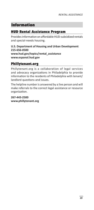# Information

## HUD Rental Assistance Program

Provides information on affordable HUD-subsidized rentals and special-needs housing.

### **U.S. Department of Housing and Urban Development 215-656-0500 www.hud.gov/topics/rental\_assistance www.espanol.hud.gov**

## Phillytenant.org

Phillytenant.org is a collaboration of legal services and advocacy organizations in Philadelphia to provide information to the residents of Philadelphia with tenant/ landlord questions and issues.

The helpline number is answered by a live person and will make referrals to the correct legal assistance or resource organization.

**267-443-2500 www.phillytenant.org**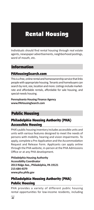# Rental Housing

Individuals should find rental housing through real estate agents, newspaper advertisements, neighborhood postings, word of mouth, etc.

# Information

## PAHousingSearch.com

This is a free, online rental and homeownership service that links people with appropriate housing. Tenants and homebuyers can search by rent, size, location and more. Listings include marketrate and affordable rentals, affordable for sale housing, and special-needs housing.

## **Pennsylvania Housing Finance Agency www.PAHousingSearch.com**

# Public Housing

## Philadelphia Housing Authority (PHA) Accessible Housing

PHA's public housing inventory includes accessible units and units with various features designed to meet the needs of persons with mobility, hearing and vision impairments. To apply, complete a Pre-Application and the Accommodation Request and Release Form. Applicants can apply online through the PHA website, in-person at the PHA Admissions Office or at any PHA development.

**Philadelphia Housing Authority Accessibility Coordinator 2013 Ridge Ave., Philadelphia, PA 19121 215-684-4379 www.pha.phila.gov**

## Philadelphia Housing Authority (PHA) Public Housing

PHA provides a variety of different public housing rental opportunities for low-income residents, including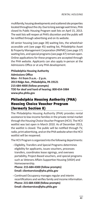multifamily, housing developments and scattered site properties located throughout the city. Due to long average wait times, PHA closed its Public Housing Program wait lists on April 15, 2013. The wait lists will reopen at PHA's discretion and the public will be notified through advertising and on its website.

All senior housing (see page 39) waiting lists, the wheelchair accessible unit (see page 45) waiting list, Philadelphia Asset & Property Management Corporation (PAPMC) (see page 37) waiting lists, and special programs (see page 47) remain open. Online applications for these programs are accepted through the PHA website. Applicants can also apply in-person at the Admissions Office or at any PHA development.

**Philadelphia Housing Authority Admissions Office Mon - Fri from 9 a.m. - 2 p.m. 2013 Ridge Ave., Philadelphia, PA 19121 215-684-4000 (follow prompts) TDD for deaf and hard of hearing: 800-654-5984 www.pha.phila.gov**

## Philadelphia Housing Authority (PHA) Housing Choice Voucher Program (formerly Section 8)

The Philadelphia Housing Authority (PHA) provides rental assistance to low-income families in the private rental market through the Housing Choice Voucher Program (HCV). The HCV waitlist was last open in March 2010. As of December 2013, the waitlist is closed. The public will be notified through TV, radio, print advertising, and on the PHA website when the HCV waitlist will be reopened.

The HCV Program is organized into the following departments:

- Eligibility, Transfers and Special Programs determines eligibility for applicants, issues vouchers, processes transfers, coordinates lease signings, and oversees portability, Project-Based vouchers, and special programs such as Veterans Affairs Supportive Housing (VASH) and Homeownership.

**Phone: 215-684-4300 (follow prompts) Email: clientservices@pha.phila.gov**

- Continued Occupancy manages regular and interim recertifications and verifies family and income information. **Phone: 215-684-4300 (follow prompts) Email: clientservices@pha.phila.gov**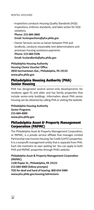#### *RENTAL HOUSING*

- Inspections conducts Housing Quality Standards (HQS) inspections, enforces standards, and takes action for HQS violations.

**Phone: 215-684-3860 Email: hcvinspections@pha.phila.gov**

- Owner Services serves as liaison between PHA and landlords, conducts reasonable rent determinations and processes housing assistance payments. **Phone: 215-684-5596 Email: hcvlandlords@pha.phila.gov**

**Philadelphia Housing Authority Housing Choice Voucher Office 2850 Germantown Ave., Philadelphia, PA 19133 www.pha.phila.gov**

## Philadelphia Housing Authority (PHA) Senior Housing

PHA has designated several senior-only developments for residents aged 55 and older and has family properties that include senior-only buildings. Information about PHA senior housing can be obtained by calling PHA or visiting the website.

**Philadelphia Housing Authority Senior Programs 215-684-4000 www.pha.phila.gov**

## Philadelphia Asset & Property Management Corporation (PAPMC)

The Philadelphia Asset & Property Management Corporation, or PAPMC, is a private service affiliate that manages Limited Partnership Low Income Housing Tax Credit (LIHTC) properties. It is a nonprofit management entity that is separate from PHA. Each site maintains its own waiting list. You can apply to both PHA and PAPMC properties through PHA's website.

**Philadelphia Asset & Property Management Corporation (PAPMC)**

**1100 Poplar St., Philadelphia, PA 19123 215-684-4000 (follow prompts) TDD for deaf and hard of hearing: 800-654-5984 www.pha.phila.gov.housing/admissions**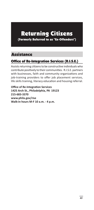# Returning Citizens (Formerly Referred to as "Ex-Offenders")

# Assistance

# Office of Re-Integration Services (R.I.S.E.)

Assists returning citizens to be constructive individuals who contribute positively to their communities. R.I.S.E. partners with businesses, faith and community organizations and job-training providers to offer job placement services, life skills training, literacy education and housing referral.

**Office of Re-Integration Services 1425 Arch St., Philadelphia, PA 19123 215-683-3370 www.phila.gov/rise Walk-in hours M-F 10 a.m. - 4 p.m.**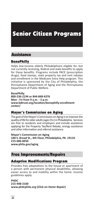# Senior Citizen Programs

# Assistance

## BenePhilly

Helps low-income elderly Philadelphians eligible for, but not currently receiving, federal and state benefits to apply for these benefits. Programs include PACE (prescription drugs), food stamps, state property tax and rent rebates and enrollment in the Medicare Extra Help program. This initiative is sponsored by the City of Philadelphia, the Pennsylvania Department of Aging and the Pennsylvania Department of Public Welfare.

**BenePhilly 800-236-2194 or 844-848-4376 Mon - Fri from 9 a.m. - 5 p.m. www.bdtrust.org/location/benephilly-enrollmentcenter/**

## Mayor's Commission on Aging

The goal of the Mayor's Commission on Aging is to improve the quality of life for older adults (ages 55+) in Philadelphia. Services are free to residents and employers and include assistance applying for the Property Tax/Rent Rebate, energy assistance and other information and referral assistance.

**Mayor's Commission on Aging 100 S. Broad St., 4th Floor, Philadelphia, PA 19110 215-686-8450 www.phila.gov/aging**

## Free Improvements/Repairs

## Adaptive Modifications Program

Provides free adaptations to the house or apartment of a person with permanent physical disabilities, allowing easier access to and mobility within the home. Income guidelines apply.

**PHDC 215-448-2160 www.phdcphila.org (Click on** *Home Repair***)**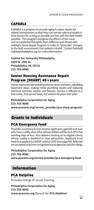# CAPABLE

CAPABLE is a program to provide aging-in-place repairs for elderly homeowners so that they can remain safe and health in their homes for as long as possible and live with the best health possible. This program combines the efforts of the nurse and occupational therapists from Jefferson and Drexel with Habitat's Home Repair Program in order to "prescribe" changes to the built environment that patients inhabit. Contact family@ habitatphiladelphia.org for more information.

**Habitat for Humanity Philadelphia 1829 N. 19th St. Philadelphia, PA 19121 215-765-6000**

## Senior Housing Assistance Repair Program (SHARP) 60+years

Home repairs include replacing exterior doors and locks, rebuilding basement steps, making minor plumbing repairs and replacing electrical switches, outlets and fixtures. Service is offered on a first-come, first-served basis. For seniors 60 years and older.

# **Philadelphia Corporation for Aging 215-765-9040**

**www.pcacares.org/service\_provider/pca-sharp-program/**

# Grants to Individuals

## PCA Emergency Fund

Provides assistance to low-income applicants aged 60 and over who have a utility shut-off or whose utilities will be shut off in five working days or less. Also delivers heating oil to eligible clients whose supply is depleted or near exhaustion. Applicant must have first applied to LIHEAP and/or UESF (see page 49). Referrals are accepted only from recognized social agencies and the clergy.

**Philadelphia Corporation for Aging 215-765-9040 www.pcacares.org/service-provider/pca-emergency-fund**

# Information

## PCA Helpline

Provides listings of senior housing.

**Philadelphia Corporation for Aging 215-765-9040 www.pcacares.org (**Search for *PCA Helpline***)**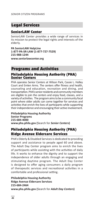# Legal Services

## SeniorLAW Center

SeniorLAW Center provides a wide range of services in its mission to protect the legal rights and interests of the elderly.

**PA SeniorLAW HelpLine 1-877-PA-SR-LAW (1-877-727-7529) 215-988-1244 www.seniorlawcenter.org**

## Programs and Activities

## Philadelphia Housing Authority (PHA) Senior Centers

PHA operates Senior Centers at Wilson Park, Cassie L. Holley Court and Emlen Arms. The centers offer fitness and health, counseling and education, recreation and dining, and transportation. PHA's senior residents and community members are eligible to join the centers and enjoy food, classes, and a variety of activities. The program aims to be a community focal point where older adults can come together for services and activities that enrich the lives of participants while supporting their independence and encouraging their active involvement.

**Philadelphia Housing Authority Senior Programs 215-684-4000 www.pha.phila.gov (**Search for *Senior Centers***)**

# Philadelphia Housing Authority (PHA) Ridge Avenue Eldercare Services

PHA's Elderly & Disabled Services is dedicated to providing support and assistance to people aged 60 and above. The Adult Day Center program aims to enrich the lives of participants while assisting with the activities of daily life. It works to enhance the dignity and to support the independence of older adults through an engaging and stimulating daytime program. The Adult Day Center is designed to offer aging consumers a daily program of therapeutic services and recreational activities in a comfortable and professional setting.

**Philadelphia Housing Authority Ridge Avenue Eldercare Services 215-684-2464 www.pha.phila.gov (**Search for *Adult Day Centers***)**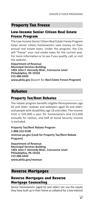# Property Tax Freeze

## Low-Income Senior Citizen Real Estate Freeze Program

The Low-Income Senior Citizen Real Estate Freeze Program helps senior citizen homeowners save money on their annual real estate taxes. Under the program, the City will "freeze" your real estate taxes for the current year. For more information or to see if you qualify, call, or visit the website.

**Department of Revenue Municipal Services Building 1401 John F. Kennedy Blvd., Concourse Level Philadelphia, PA 19102 215-686-6442 www.phila.gov (**Search for *Real Estate Freeze Program***)**

## Rebates

## Property Tax/Rent Rebates

The rebate program benefits eligible Pennsylvanians age 65 and older; widows and widowers aged 50 and older; and people with disabilities age 18 and older. The income limit is \$35,000 a year for homeowners and \$15,000 annually for renters, and half of Social Security income is excluded.

**Property Tax/Rent Rebate Program 1-888-222-9190 revenue.pa.gov (Look for Property Tax/Rent Rebate Program)** 

**Department of Revenue Municipal Services Building 1401 John F. Kennedy Blvd., Concourse Level Philadelphia, PA 19102 215-686-6442 www.phila.gov/revenue**

## Reverse Mortgages

## Reverse Mortgages and Reverse Mortgage Counseling

Senior homeowners (aged 62 and older) can use the equity they have built up in their home as collateral for a low-interest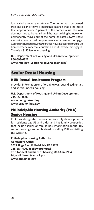#### *SENIOR CITIZEN PROGRAMS*

loan called a reverse mortgage. The home must be owned free and clear or have a mortgage balance that is no more than approximately 65 percent of the home's value. The loan does not have to be repaid until the last surviving homeowner permanently moves out of the home or passes away. There are no income or credit requirements for a reverse mortgage. Counseling is required. HUD certifies housing counselors to give homeowners impartial education about reverse mortgages. There is a \$125 fee for counseling.

#### **U.S. Department of Housing and Urban Development 866-698-6322**

**www.hud.gov (Search for reverse mortgage)**

# Senior Rental Housing

## HUD Rental Assistance Program

Provides information on affordable HUD-subsidized rentals and special-needs housing.

**U.S. Department of Housing and Urban Development 215-656-0500 www.hud.gov/renting www.espanol.hud.gov**

## Philadelphia Housing Authority (PHA) Senior Housing

PHA has designated several senior-only developments for residents age 55 and older and has family properties that include senior-only buildings. Information about PHA senior housing can be obtained by calling PHA or visiting the website.

**Philadelphia Housing Authority Admissions Office 2013 Ridge Ave., Philadelphia, PA 19121 215-684-4000 (Follow prompts) TDD for deaf and hard of hearing: 800-654-5984 Mon - Fri from 9 am - 2 pm www.pha.phila.gov**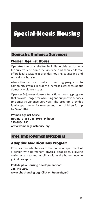# Special-Needs Housing

# Domestic Violence Survivors

## Women Against Abuse

Operates the only shelter in Philadelphia exclusively for survivors of domestic violence and their children; offers legal assistance; provides housing counseling and transitional housing.

Also offers educational and training programs to community groups in order to increase awareness about domestic violence issues.

Operates Sojourner House, a transitional housing program that provides longer-term housing and supportive services to domestic violence survivors. The program provides family apartments for women and their children for up to 24 months.

**Women Against Abuse Hotline: 1-866-723-3014 (24 hours) 215-386-1280 www.womenagainstabuse.org**

# Free Improvements/Repairs

## Adaptive Modifications Program

Provides free adaptations to the house or apartment of a person with permanent physical disabilities, allowing easier access to and mobility within the home. Income guidelines apply.

**Philadelphia Housing Development Corp. 215-448-2160 www.phdchousing.org (Click on** *Home Repair***)**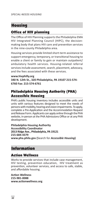# **Housing**

## Office of HIV planning

The Office of HIV Planning supports the Philadelphia EMA HIV Integrated Planning Council (HIPC), the decisionmaking body that plans HIV care and prevention services in the nine-county Philadelphia area.

Housing services provide limited short-term assistance to support emergency, temporary, or transitional housing to enable a client or family to gain or maintain outpatient/ ambulatory health services. Housing-related referral services include assessment, search, placement, advocacy, and the fees associated with these services.

#### **www.hivphilly.org 340 N. 12th St., 320 Philadelphia, PA 19107 215-574- 6760 Fax: 215-574-6761**

## Philadelphia Housing Authority (PHA) Accessible Housing

PHA's public housing inventory includes accessible units and units with various features designed to meet the needs of persons with mobility, hearing and vision impairments. To apply, complete a Pre-Application and the Accommodation Request and Release Form. Applicants can apply online through the PHA website, in-person at the PHA Admissions Office or at any PHA development.

**Philadelphia Housing Authority Accessibility Coordinator 2013 Ridge Ave., Philadelphia, PA 19121 215-684-4379 www.pha.phila.gov (**Search for *Accessible Housing***)**

# Information

## Action Wellness

Works to provide services that include case management, HIV testing, prevention education, HIV treatment as prevention, volunteer services, and access to safe, stable, and affordable housing.

**Action Wellness 215-981-0088 www.actionwellness.org**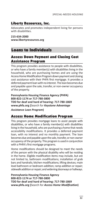## Liberty Resources, Inc.

Advocates and promotes independent living for persons with disabilities.

**215-634-2000 www.libertyresources.org**

# Loans to Individuals

## Access Down Payment and Closing Cost Assistance Program

This program provides assistance to people with disabilities, or who have a family member(s) with disabilities living in the household, who are purchasing homes and are using the Access Home Modification Program down payment and closing cost assistance with their PHFA first mortgage. It provides a deferred payment loan with no interest. The loan becomes due and payable upon the sale, transfer, or non-owner occupancy of the property.

**Pennsylvania Housing Finance Agency (PHFA) 800-822-1174 or 717-780-3800 TDD for deaf and hard of hearing: 717-780-1869 www.phfa.org (**Search for *Keystone Advantage* 

*Assistance Loan Program***)**

## Access Home Modification Program

This program provides mortgage loans to assist people with disabilities, or who have a family member(s) with disabilities living in the household, who are purchasing a home that needs accessibility modifications. It provides a deferred payment loan, with no interest and no monthly payment. The loan becomes due and payable upon the sale, transfer, or non-owner occupancy of the property. This program is used in conjunction with a PHFA's first mortgage programs.

Home modifications should be designed to meet the needs of the person with the physical disability who will be residing in the home. Eligible modification items may include, but are not limited to, bathroom modifications; installation of grab bars and handrails; kitchen modifications; lifting devices; main level bathroom or bedroom addition; ramp addition or repair; sidewalk addition or repair; and widening doorways or hallways.

**Pennsylvania Housing Finance Agency 800-822-1174 or 717-780-3800 TDD for deaf and hard of hearing: 717-780-1869 www.phfa.org (**Search for *Access Home Modification***)**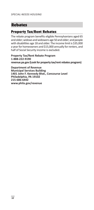# Rebates

## Property Tax/Rent Rebates

The rebate program benefits eligible Pennsylvanians aged 65 and older; widows and widowers age 50 and older; and people with disabilities age 18 and older. The income limit is \$35,000 a year for homeowners and \$15,000 annually for renters, and half of Social Security income is excluded.

**Property Tax/Rent Rebate Program 1-888-222-9190 revenue.pa.gov (Look for property tax/rent rebates program)**

**Department of Revenue Municipal Services Building 1401 John F. Kennedy Blvd., Concourse Level Philadelphia, PA 19102 215-686-6442 www.phila.gov/revenue**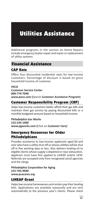# Utilities Assistance

Additional programs in the section on Home Repairs include emergency heater repair and repair or replacement of utility systems.

## Financial Assistance

## CAP Rate

Offers four discounted residential rates for low-income customers. Percentage of discount is based on gross household income of customer.

#### **PECO**

**Customer Service Center 800-774-7040 www.peco.com (**Search *Customer Assistance Program***)**

## Customer Responsibility Program (CRP)

Helps low-income customers better afford their gas bills and maintain their gas service by paying discounted bills or a monthly budgeted amount based on household income.

**Philadelphia Gas Works 215-235-1000 www.pgworks.com (**Click on *Customer Care)* 

## Emergency Resources for Older Philadelphians

Provides assistance to low-income applicants aged 60 and over who have a utility shut-off or whose utilities will be shut off in five working days or less. Also delivers heating oil to eligible clients whose supply is depleted or near exhaustion. Applicant must have first applied to LIHEAP and/or UESF. Referrals are accepted only from recognized social agencies and the clergy.

**Philadelphia Corporation for Aging 215-765-9040 www.pcacares.org**

## LIHEAP Grant

Helps low-income homeowners and renters pay their heating bills. Applications are available seasonally and are sent automatically to the previous year's clients. Please check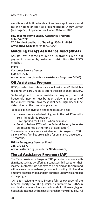#### *UTILITIES ASSISTANCE*

website or call hotline for deadlines. New applicants should call the hotline or apply at a Neighborhood Energy Center (see page 50). Applications will open October 2021.

### **Low-Income Home Energy Assistance Program 866-857-7095**

**TDD for deaf and hard of hearing: 800-451-5886 www.dhs.pa.gov (**Search for *LIHEAP***)**

## Matching Energy Assistance Fund (MEAF)

Assists low-income residential customers with bill payment. Is funded by customer contributions that PECO matches.

#### **PECO**

**Customer Service Center 800-774-7040 www.peco.com (**Search for *Assistance Programs MEAF***)**

## Oil Assistance Program

UESF provides direct oil assistance for low-income Philadelphia residents who are unable to afford the cost of an oil delivery.

To be eligible for the oil assistance program, the total household income must be at or below 175 percent of the current federal poverty guidelines. Eligibility will be determined at the time of application.

To be eligible, individuals and families must also:

- Have not received a fuel oil grant in the last 12 months
- Be a Philadelphia resident
- Have applied for LIHEAP when available
- Be at or below 175% of the Federal Poverty Level (to be determined at the time of application)

The maximum assistance available for this program is 200 gallons of oil; families are eligible for assistance once every 12 months.

## **Utility Emergency Services Fund 215-972-5170**

**www.uesfacts.org (**Search for *Oil Assistance***)**

# Tiered Assistance Program (TAP)

The Tiered Assistance Program (TAP) provides customers with significant savings by offering a consistent bill based on their income. Customers do not have to be behind on their bill and will receive an income-based, consistent monthly bill. Past due amounts are suspended and not enforced upon while enrolled in the program.

TAP is for residents whose income falls below 150% of the Federal Poverty Level (FPL), which is equivalent to \$3,075 in monthly income for a four-person household. However, higher household incomes with a Special Hardship, may still qualify. All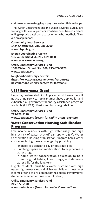*UTILITIES ASSISTANCE*

customers who are struggling to pay their water bill should apply.

 The Water Department and the Water Revenue Bureau are working with several partners who have been trained and are willing to provide assistance to customers who need help filling out an application:

**Community Legal Services 1424 Chestnut St., 215-981-3700 www.clsphila.gov**

**Energy Coordinating Agency 106 W. Clearfield St., 215-609-1000 www.ecasavesenergy.org**

**Utility Emergency Services Fund 1608 Walnut Street, Ste. 600, 215-972-5170 www.uesfacts.org**

**Neighborhood Energy Centers (https://www.ecasavesenergy.org/resources/ neighborhood-energy-centers for locations)** 

## UESF Emergency Grant

Helps pay heat-related bills. Applicant must have a shut-off notice or no service. Applicant must have applied for and exhausted all governmental energy assistance programs available (LIHEAP). Must meet income guidelines.

#### **Utility Emergency Services Fund 215-972-5170 www.uesfacts.org (**Search for *Utility Grant Program***)**

## Water Conservation Housing Stabilization Program

Low-income residents with high water usage and high bills at risk of water shut-off can apply. UESF's Water Conservation Housing Stabilization Program helps water customers facing these challenges by providing:

- Financial assistance to pay off past due bills
- Plumbing repairs and modifications to help decrease water usage
- In-home water conservation education to help promote good habits, lower usage, and decrease water bills for the long term

Eligible residents must be a water customer with high usage, high arrearages, and high water bills and must meet income criteria of 175 percent of the Federal Poverty level (to be determined at time of application).

**Utility Emergency Services Fund 215-972-5170 www.uesfacts.org (Search for** *Water Conservation***)**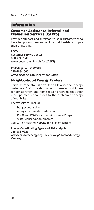*UTILITIES ASSISTANCE*

# Information

## Customer Assistance Referral and Evaluation Services (CARES)

Provides support and direction to help customers who have temporary personal or financial hardships to pay their utility bills.

#### **PECO**

**Customer Service Center 800-774-7040 www.peco.com (**Search for *CARES***)**

**Philadelphia Gas Works 215-235-1000 www.pgworks.com (**Search for *CARES***)**

## Neighborhood Energy Centers

Serve as "one-stop shops" for all low-income energy customers. Staff provides budget counseling and intake for conservation and home-repair programs that offer more permanent solutions to the problem of energy affordability.

Energy services include:

- budget counseling
- energy conservation education
- PECO and PGW Customer Assistance Programs
- water conservation program

Call ECA or visit the website for a list of centers.

#### **Energy Coordinating Agency of Philadelphia 215-988-0929**

#### **www.ecasavesenergy.org (**Click on *Neighborhood Energy Centers)*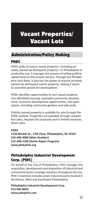# Vacant Properties/ Vacant Lots

# Administration/Policy Making

# PHDC

PHDC seeks to return vacant property—including privately owned tax delinquent property—in Philadelphia to productive use. It manages the process of selling publicly owned land to new private owners. Through the Philadelphia Land Bank, it also has the power to acquire privately owned tax delinquent vacant property, making it easier to assemble parcels for development.

PHDC identifies opportunities to turn vacant property into affordable housing, equitable community development, economic development opportunities, and open spaces, including community gardens and side yards.

Publicly owned property is available for sale through the PHDC website. Properties are available through competitive sales, requests for proposals and in limited instances, direct sales.

## **PHDC**

**1234 Market St., 17th Floor, Philadelphia, PA 19107 215-448-3000 (Main Number) 215-448-2160 (Home Repair Program) www.phdcphila.org**

# Philadelphia Industrial Development Corp. (PIDC)

On behalf of the City of Philadelphia, PIDC manages the acquisition, development and disposition of industrial and commercial land in strategic locations throughout the city. PIDC's inventory includes seven industrial parks located in Northeast, West and Southwest Philadelphia.

**Philadelphia Industrial Development Corp. 215-496-8020 www.pidcphila.com**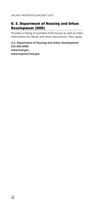*VACANT PROPERTIES/VACANT LOTS*

## U. S. Department of Housing and Urban Development (HUD)

Provides a listing of available HUD houses as well as index information for deeds and other documents. Fees apply.

**U.S. Department of Housing and Urban Development 215-656-0500 www.hud.gov www.espanol.hud.gov**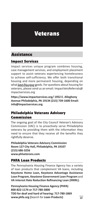# Veterans

# Assistance

## Impact Services

Impact services unique program combines housing, case management services, and employment placement support to assist veterans experiencing homelessness to achieve self-sufficiency. We offer both transitional housing and more permanent housing, depending on what **þest fits your** needs. For questions about housing for veterans, please send us an email: ImpactVetsReferrals@ impactservices.org

**https://www.impactservices.org/ 1952 E. Allegheny Avenue Philadelphia, PA 19134 (215) 739-1600 Email: info@impactservices.org** 

## Philadelphia Veterans Advisory Commission

The ongoing goal of the City Council Veteran's Advisory Commission (VAC) is to proactively serve Philadelphia veterans by providing them with the information they need to ensure that they receive all the benefits they rightfully deserve.

**Philadelphia Veterans Advisory Commission Room 127 City Hall, Philadelphia, PA 19107 (215) 686-3256 www.phlveterans.com**

## PHFA Loan Products

The Pennsylvania Housing Finance Agency has a variety of loan products that complement VA loans, including **Keystone Home Loan, Keystone Advantage Assistance Loan Program, Keystone Government Loan Program** and **VA Interest Rate Reduction Refinancing Loan (IRRRL)**.

**Pennsylvania Housing Finance Agency (PHFA) 800-822-1174 or 717-780-3800 TDD for deaf and hard of hearing: 717-780-1869 www.phfa.org (**Search for *Loan Products***)**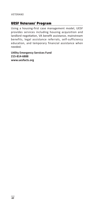## UESF Veterans' Program

Using a housing-first case management model, UESF provides services including housing acquisition and landlord negotiation, VA benefit assistance, mainstream benefits, legal assistance referrals, self-sufficiency education, and temporary financial assistance when needed.

**Utility Emergency Services Fund 215-814-6888 www.uesfacts.org**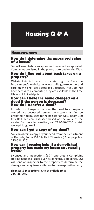# Housing Q & A

## Homeowners

#### How do I determine the appraised value of a house?

You will need to hire an appraiser to conduct an appraisal. Companies are listed in the phone book and on the Web.

### How do I find out about back taxes on a property?

Obtain this information by visiting the Revenue Department's website at www.phila.gov/revenue and click on the link Real Estate Tax Balances. If you do not have access to a computer, they are available at the Free Library of Philadelphia.

#### How can I have the name changed on a deed if the person is deceased? How do I transfer a deed?

In order to change or transfer the deed to a property owned by a deceased person, the estate must first be probated. You must go to the Register of Wills, Room 180 City Hall. Fees are assessed based on the value of the estate. For more information, call 215-686-6250 or visit www.phila.gov/wills

## How can I get a copy of my deed?

You can obtain a copy of your deed from the Department of Records, Room 154 City Hall. There is a \$2 per page fee. 215-686-2262

#### How can I receive help if a demolished property has made my house structurally weak?

Licenses and Inspections (L&I) operates a Complaint Hotline handling issues such as dangerous buildings. L&I will send an inspector to the property to determine the damage and may issue a citation to the responsible party.

#### **Licenses & Inspections, City of Philadelphia 215-686-2463**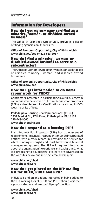# Information for Developers

#### How do I get my company certified as a minority-, woman- or disabled-owned business?

The Office of Economic Opportunity provides a list of certifying agencies on its website.

**Office of Economic Opportunity, City of Philadelphia www.phila.gov/oeo or 215-683-2057**

#### How do I find a minority-, woman- or disabled-owned business to serve as a subcontractor?

The Office of Economic Opportunity maintains a database of certified minority-, woman- and disabled-owned businesses.

**Office of Economic Opportunity, City of Philadelphia www.phila.gov/oeo**

## How do I get information to do home repair work for PHDC?

Contractors interested in participating in a PHDC program can request to be notified of future Request for Proposals (RFPs) and/or Request for Qualifications by visiting PHDC's website or its offices.

**Philadelphia Housing Development Corp. (PHDC) 1234 Market St., 17th Floor, Philadelphia, PA 19107 215-448-3000 www.phdchousing.org**

## How do I respond to a housing RFP?

Each Request For Proposals (RFP) has its own set of requirements. In general, respondents must be incorporated entities with a track record in providing the service for which funding is sought and must have sound financial management systems. The RFP will require information about the organization's experience and background, what it is proposing to do, budgets, etc. RFPs are advertised on the websites below and in select area newspapers.

**www.phila.gov/dhcd www.phdcphila.org**

## How do I get placed on the RFP mailing list for DHCD, PHDC and PRA?

Individuals and organizations interested in being added to the RFP mailing lists of DHCD and PHDC should visit the agency websites and use the "Sign up" function.

**www.phila.gov/dhcd www.phdcphila.org**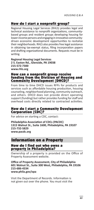## How do I start a nonprofit group?

Regional Housing Legal Services (RHLS) provides legal and technical assistance to nonprofit organizations, communitybased groups and resident groups developing housing for lower-income persons and engaging in innovative communitydriven economic development opportunities to revitalize their neighborhoods. RHLS also provides free legal assistance in obtaining tax-exempt status, filing incorporation papers and drafting organizational documents. Requests must be in writing.

**Regional Housing Legal Services 2 S. Easton Rd., Glenside, PA 19038 215-572-7300 www.rhls.org**

#### How can a nonprofit group receive funding from the Division of Housing and Community Development (DHCD)?

From time to time DHCD issues RFPs for products and services such as affordable housing production, housing counseling, neighborhood planning, community outreach, and others. DHCD does not provide direct operating support (funding) but rather provides funding for staff and overhead costs directly related to contracted activities.

### How do I start a Community Development Corporation (CDC)?

For advice on starting a CDC, contact:

**Philadelphia Association of CDCs (PACDC) 1315 Walnut St., Suite 1600, Philadelphia, PA 19107 215-732-5829 www.pacdc.org**

## Information on a Property

#### How do I find out who owns a property in Philadelphia?

Ownership of a property is provided on the Office of Property Assessment website.

**Office of Property Assessment, City of Philadelphia 601 Walnut St., Suite 300 West, Philadelphia, PA 19106 215-686-4334 www.phila.gov/opa**

Visit the Department of Records. Information is not given out over the phone. You must visit the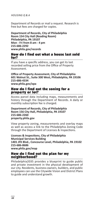#### *HOUSING Q & A*

Department of Records or mail a request. Research is free but fees are charged for copies.

**Department of Records, City of Philadelphia Room 154 City Hall (Reading Room) Philadelphia, PA 19107 Mon - Fri from 8 am - 4 pm 215-686-2292 www.phila.gov/records**

#### How do I find out what a house last sold for?

If you have a specific address, you can get its last recorded selling price from the Office of Property Assessment.

**Office of Property Assessment, City of Philadelphia 601 Walnut St., Suite 300 West, Philadelphia, PA 19106 215-686-4334 www.phila.gov/opa**

#### How do I find out the zoning for a property or lot?

Access parcel data including maps, measurements and history through the Department of Records. A daily or monthly subscription fee is charged.

#### **Department of Records, City of Philadelphia Room 156 City Hall, Philadelphia, PA 19107 215-686-2260 property.phila.gov**

View property zoning, measurements and overlay maps as well as access a link to the Philadelphia Zoning Code through the Department of Licenses & Inspections.

**Licenses & Inspections, City of Philadelphia Municipal Services Building 1401 JFK Blvd., Concourse Level, Philadelphia, PA 19102 215-686-8686 www.phila.gov/map**

#### How do I find out the plan for my neighborhood?

Philadelphia2035 provides a blueprint to guide public and private investment in the physical development of our city. Residents, business owners, builders, and public employees can use the Citywide Vision and District Plans to guide and understand growth.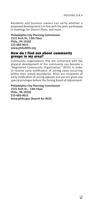Residents and business owners can verify whether a proposed development is in line with the plan, participate in meetings for District Plans, and more.

**Philadelphia City Planning Commission 1515 Arch St., 13th Floor Phila., PA 19102 215-683-4615 www.phila2035.org**

### How do I find out about community groups in my area?

Community organizations that are concerned with the physical development of the community can become a "Registered Community Organization" (RCO) in order to receive early notification of zoning cases occurring within their stated boundaries. RCOs are recipients of early notification of zoning appeals and are not given any special privileges before the Zoning Board of Adjustment.

**Philadelphia City Planning Commission 1515 Arch St., 13th Floor Phila., PA 19102 215-683-4615 www.phila.gov (Search for** *RCO***)**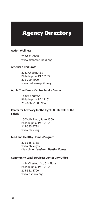# Agency Directory

#### **Action Wellness**

215-981-0088 www.actionwellness.org

#### **American Red Cross**

2221 Chestnut St. Philadelphia, PA 19103 215-299-4000 www.redcross-philly.org

#### **Apple Tree Family Central Intake Center**

1430 Cherry St. Philadelphia, PA 19102 215-686-7150, 7152

#### **Center for Advocacy for the Rights & Interests of the Elderly**

1500 JFK Blvd., Suite 1500 Philadelphia, PA 19102 215-545-5728 www.carie.org

#### **Lead and Healthy Homes Program**

215-685-2788 www.phila.gov (Search for *Lead and Heathy Homes*)

#### **Community Legal Services: Center City Office**

1424 Chestnut St., 5th Floor Philadelphia, PA 19102 215-981-3700 www.clsphila.org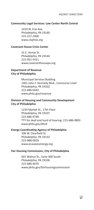#### **Community Legal Services: Law Center North Central**

1410 W. Erie Ave. Philadelphia, PA 19140 215-227-2400 www.clsphila.org

#### **Covenant House Crisis Center**

31 E. Armat St. Philadelphia, PA 19144 215-951-5411 www.covenanthousepa.org

#### **Department of Revenue City of Philadelphia**

Municipal Services Building 1401 John F. Kennedy Blvd., Concourse Level Philadelphia, PA 19102 215-686-6442 www.phila.gov/revenue

### **Division of Housing and Community Development City of Philadelphia**

1234 Market St., 17th Floor Philadelphia, PA 19107 215-686-9749 TTY for deaf and hard of hearing: 215-686-9803 www.phila.gov/dhcd

#### **Energy Coordinating Agency of Philadelphia**

106 W. Clearfield St. Philadelphia, PA 19133 215-988-0929 www.ecasavesenergy.org

#### **Fair Housing Commission, City of Philadelphia**

601 Walnut St., Suite 300 South Philadelphia, PA 19106 215-686-4670 www.phila.gov/fairhousingcommission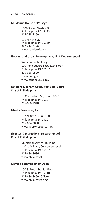#### *AGENCY DIRECTORY*

#### **Gaudenzia House of Passage**

1306 Spring Garden St. Philadelphia, PA 19123 215-238-2150

111 N. 48th St. Philadelphia, PA 19139 267-713-7778 www.gaudenzia.org

#### **Housing and Urban Development, U. S. Department of**

Wanamaker Building 100 Penn Square East, 11th Floor Philadelphia, PA 19107 215-656-0500 www.hud.gov www.espanol.hud.gov

#### **Landlord & Tenant Court/Municipal Court City of Philadelphia**

1339 Chestnut St., Room 1020 Philadelphia, PA 19107 215-686-2910

#### **Liberty Resources, Inc.**

112 N. 8th St., Suite 600 Philadelphia, PA 19107 215-634-2000 www.libertyresources.org

#### **Licenses & Inspections, Department of City of Philadelphia**

Municipal Services Building 1401 JFK Blvd., Concourse Level Philadelphia, PA 19102 215-686-8686 www.phila.gov/li

#### **Mayor's Commission on Aging**

100 S. Broad St., 4th Floor Philadelphia, PA 19110 215-686-8450 (Office) www.phila.gov/aging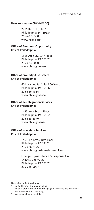*AGENCY DIRECTORY*

#### **New Kensington CDC (NKCDC)**

2771 Ruth St., Ste. 1 Philadelphia, PA 19134 215-427-0350 www.nkcdc.org

#### **Office of Economic Opportunity City of Philadelphia**

1515 Arch St., 12th Floor Philadelphia, PA 19102 215-683-202051 www.phila.gov/oeo

#### **Office of Property Assessment City of Philadelphia**

601 Walnut St., Suite 300 West Philadelphia, PA 19106 215-686-4334 www.phila.gov/opa

#### **Office of Re-Integration Services City of Philadelphia**

1425 Arch St., 1<sup>st</sup> Floor Philadelphia, PA 19102 215-683-3370 www.phila.gov/rise

### **Office of Homeless Services City of Philadelphia**

1401 JFK Blvd., 10th Floor Philadelphia, PA 19102 215-686-7175 www.phila.gov/homelessservices

Emergency/Assistance & Response Unit 1430 N. Cherry St. Philadelphia, PA 19102 215-685-9087

<sup>(</sup>Agencies subject to change)

No Settlement Grant counseling

<sup>\*\*</sup> No anti-predatory lending, mortgage foreclosure prevention or Settlement Grant counseling

Not wheelchair accessible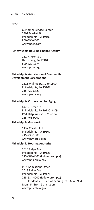#### *AGENCY DIRECTORY*

#### **PECO**

Customer Service Center 2301 Market St. Philadelphia, PA 19103 800-494-4000 www.peco.com

#### **Pennsylvania Housing Finance Agency**

211 N. Front St. Harrisburg, PA 17101 800-822-1174 www.phfa.org

#### **Philadelphia Association of Community Development Corporations**

1315 Walnut St., Suite 1600 Philadelphia, PA 19107 215-732-5829 www.pacdc.org

#### **Philadelphia Corporation for Aging**

642 N. Broad St. Philadelphia, PA 19130-3409 **PCA Helpline** - 215-765-9040 215-765-9000

#### **Philadelphia Gas Works**

1137 Chestnut St. Philadelphia, PA 19107 215-235-1000 www.pgworks.com

#### **Philadelphia Housing Authority**

2013 Ridge Ave. Philadelphia, PA 19121 215-684-4000 (follow prompts) www.pha.phila.gov

PHA Admissions Office 2013 Ridge Ave. Philadelphia, PA 19121 215-684-4000 (follow prompts) TDD for deaf and hard of hearing: 800-654-5984 Mon - Fri from 9 am - 2 pm www.pha.phila.gov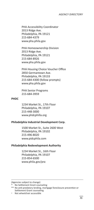PHA Accessibility Coordinator 2013 Ridge Ave. Philadelphia, PA 19121 215-684-4379 www.pha.phila.gov

PHA Homeownership Division 2013 Ridge Ave. Philadelphia, PA 19121 215-684-8926 www.pha.phila.gov

PHA Housing Choice Voucher Office 2850 Germantown Ave. Philadelphia, PA 19133 215-684-4300 (follow prompts) www.pha.phila.gov

PHA Senior Programs 215-684-3959

#### **PHDC**

1234 Market St., 17th Floor Philadelphia, PA 19107 215-448-3000 www.phdcphilla.org

#### **Philadelphia Industrial Development Corp.**

1500 Market St., Suite 2600 West Philadelphia, PA 19102 215-496-8020 www.pidcphila.com

#### **Philadelphia Redevelopment Authority**

1234 Market St., 16th Floor Philadelphia, PA 19107 215-854-6500 www.phila.gov/pra

(Agencies subject to change)

Not wheelchair accessible

No Settlement Grant counseling

<sup>\*\*</sup> No anti-predatory lending, mortgage foreclosure prevention or Settlement Grant counseling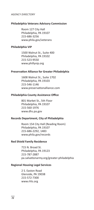#### *AGENCY DIRECTORY*

#### **Philadelphia Veterans Advisory Commission**

Room 127 City Hall Philadelphia, PA 19107 215-686-3256 www.phila.gov/veterans

#### **Philadelphia VIP**

1500 Walnut St., Suite 400 Philadelphia, PA 19102 215-523-9550 www.phillyvip.org

#### **Preservation Alliance for Greater Philadelphia**

1608 Walnut St., Suite 1702 Philadelphia, PA 19103 215-546-1146 www.preservationalliance.com

#### **Philadelphia County Assistance Office**

801 Market St., 5th Floor Philadelphia, PA 19107 215-560-1976 www.dhs.pa.gov

#### **Records Department, City of Philadelphia**

Room 154 City Hall (Reading Room) Philadelphia, PA 19107 215-686-2292, 1483 www.phila.gov/records

#### **Red Shield Family Residence**

715 N. Broad St. Philadelphia, PA 19123 215-787-2887 pa.salvationarmy.org/greater-philadelphia

#### **Regional Housing Legal Services**

2 S. Easton Road Glenside, PA 19038 215-572-7300 www.rhls.org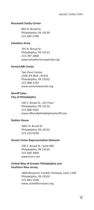#### **Roosevelt Darby Center**

802 N. Broad St. Philadelphia, PA 19130 215-685-3700

#### **Salvation Army**

701 N. Broad St. Philadelphia, PA 19123 215-787-2800 www.salvationarmypendel.org

#### **SeniorLAW Center**

Two Penn Center 1500 JFK Blvd., #1501 Philadelphia, PA 19102 215-988-1242 www.seniorlawcenter.org

#### **Sheriff Sales City of Philadelphia**

100 S. Broad St., 5th Floor Philadelphia, PA 19110 215-686-3565 www.officeofphiladelphiasheriff.com

#### **Station House**

2601 N. Broad St. Philadelphia, PA 19132 215-225-9230

#### **Tenant Union Representative Network**

100 S. Broad St., Suite 800 Philadelphia, PA 19110 215-940-3900 www.rturn.net

#### **United Way of Greater Philadelphia and Southern New Jersey**

1800 Benjamin Franklin Parkway, Suite 1200 Philadelphia, PA 19103 215-665-2500 www.unitedforimpact.org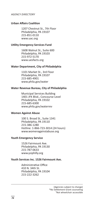#### *AGENCY DIRECTORY*

#### **Urban Affairs Coalition**

1207 Chestnut St., 7th Floor Philadelphia, PA 19107 215-851-0110 www.uac.org

#### **Utility Emergency Services Fund**

1608 Walnut St., Suite 600 Philadelphia, PA 19103 215-972-5170 www.uesfacts.org

#### **Water Department, City of Philadelphia**

1101 Market St., 3rd Floor Philadelphia, PA 19107 215-685-4901 www.phila.gov/water

#### **Water Revenue Bureau, City of Philadelphia**

Municipal Services Building 1401 JFK Blvd., Concourse Level Philadelphia, PA 19102 215-685-6300 www.phila.gov/waterrev

#### **Women Against Abuse**

100 S. Broad St., Suite 1341 Philadelphia, PA 19110 215-386-1280 Hotline: 1-866-723-3014 (24 hours) www.womenagainstabuse.org

#### **Youth Emergency Service**

1526 Fairmount Ave. Philadelphia, PA 19130 215-787-0633 www.ysiphilly.org

#### **Youth Services Inc. 1526 Fairmount Ave.**

Administrative Office 410 N. 34th St. Philadelphia, PA 19104 215-222-3262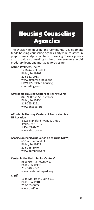## Housing Counseling Agencies

The Division of Housing and Community Development funds housing counseling agencies citywide to assist in prepurchase and postpurchase counseling. These agencies also provide counseling to help homeowners avoid predatory loans and mortgage foreclosure.

#### **Action Wellness, Inc.\*\***

1216 Arch St., 6th Fl. Phila., PA 19107 215-981-0088 www.actionwellness.org HIV/AIDS-related housing counseling only

#### **Affordable Housing Centers of Pennsylvania**

846 N. Broad St., 1st floor Phila., PA 19130 215-765-1221 www.ahcopa.org

#### **Affordable Housing Centers of Pennsylvania - NE Location**

6325 Frankford Avenue, Unit D Phila., PA 19135 215-624-0221 www.ahcopa.org

#### **Asociación Puertorriqueños en Marcha (APM)**

600 W. Diamond St. Phila., PA 19122 215-235-6070 www.apmphila.org

#### **Center in the Park (Senior Center)\***

5818 Germantown Ave. Phila., PA 19144 215-848-7722 www.centerinthepark.org

#### **Clarifi**

1635 Market St., Suite 510 Phila., PA 19103 215-563-5665 www.clarifi.org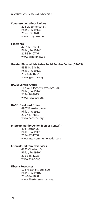#### *HOUSING COUNSELING AGENCIES*

#### **Congreso de Latinos Unidos**

216 W. Somerset St. Phila., PA 19133 215-763-8870 www.congreso.net

#### **Esperanza**

4261 N. 5th St. Phila., PA 19140 215-324-0746 www.esperanza.us

#### **Greater Philadelphia Asian Social Service Center (GPASS)**

4943 N. 5th St. Phila., PA 19120 215-456-1662 www.gpasspa.org

#### **HACE: Central Office**

167 W. Allegheny Ave., Ste. 200 Phila., PA 19140 215-426-8025 www.hacecdc.org

#### **HACE: Frankford Office**

4907 Frankford Ave. Phila., PA 19124 215-437-7861 www.hacecdc.org

#### **Intercommunity Action (Senior Center)\***

403 Rector St. Phila., PA 19128 215-487-1750 www.intercommunityaction.org

#### **Intercultural Family Services**

4225 Chestnut St. Phila., PA 19104 215-386-1298 www.ifsinc.org

#### **Liberty Resources**

112 N. 8th St., Ste. 600 Phila., PA 19107 215-634-2000 www.libertyresources.org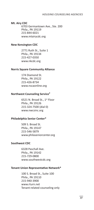#### **Mt. Airy CDC**

6703 Germantown Ave., Ste. 200 Phila., PA 19119 215-844-6021 www.mtairycdc.org

#### **New Kensington CDC**

2771 Ruth St., Suite 1 Phila., PA 19134 215-427-0350 www.nkcdc.org

#### **Norris Square Community Alliance**

174 Diamond St. Phila., PA 19122 215-426-8734 www.nscaonline.org

#### **Northwest Counseling Service†**

6521 N. Broad St., 1<sup>st</sup> Floor Phila., PA 19126 215-324-7500 (dial 0) www.nwcsinc.org

#### **Philadelphia Senior Center\***

509 S. Broad St. Phila., PA 19147 215-546-5879 www.philaseniorcenter.org

#### **Southwest CDC**

6328 Paschall Ave. Phila., PA 19142 215-729-0800 www.southwestcdc.org

#### **Tenant Union Representative Network\***

100 S. Broad St., Suite 100 Phila., PA 19110 215-940-3900 www.rturn.net Tenant-related counseling only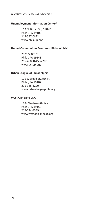#### *HOUSING COUNSELING AGENCIES*

#### **Unemployment Information Center\***

112 N. Broad St., 11th Fl. Phila., PA 19102 215-557-0822 www.philaup.org

#### **United Communities Southeast Philadelphia†**

2029 S. 8th St. Phila., PA 19148 215-468-1645 x7200 www.ucsep.org

#### **Urban League of Philadelphia**

121 S. Broad St., 9th Fl. Phila., PA 19107 215-985-3220 www.urbanleaguephila.org

#### **West Oak Lane CDC**

1624 Wadsworth Ave. Phila., PA 19150 215-224-8339 www.westoaklanecdc.org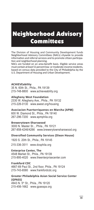# Neighborhood Advisory Committees

The Division of Housing and Community Development funds Neighborhood Advisory Committees (NACs) citywide to provide information and referral services and to promote citizen participation and neighborhood planning.

NACs are funded on an area-benefit basis. Eligible service areas must contain at least 51 percent low- or moderate-income residents, based on census data provided to the City of Philadelphia by the U.S. Department of Housing and Urban Development.

#### **ACHIEVEability**

35 N. 60th St., Phila., PA 19139 215-748-8800 www.achieveability.org

#### **Allegheny West Foundation**

2330 W. Allegheny Ave., Phila., PA 19132 215-226-0130 www.awest.org/housing

**Asociacion Puertorriquenos en Marcha (APM)** 600 W. Diamond St., Phila., PA 19140 267-296-7200 www.apmphila.org

#### **Brewerytown-Sharswood**

3000 N. Master St.., Phila., PA 19121 267-858-4246/4266 www.brewerytownsharswood.org

**Diversified Community Services (Dixon House)**

1920 S. 20th St., Phila., PA 19145 215-336-3511 www.dcsphila.org

#### **Enterprise Center, The**

4548 Market St., Phila., PA 19139 215-895-4020 www.theenterprisecenter.com

#### **Frankford CDC**

4667-69 Paul St., 2nd floor, Phila., PA 19124 215-743-6580 www.frankfordcdc.org

#### **Greater Philadelphia Asian Social Service Center (GPASS)**

4943 N. 5<sup>th</sup> St., Phila., PA 19120 215-456-1662 www.gpasspa.org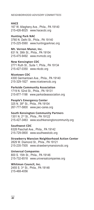*NEIGHBORHOOD ADVISORY COMMITTEES*

#### **HACE**

167 W. Allegheny Ave., Phila., PA 19140 215-426-8025 www.hacecdc.org

#### **Hunting Park NAC**

3760 N. Delhi St., Phila., PA 19140 215-225-5560 www.huntingparknac.org

#### **Mt. Vernon Manor, Inc.**

631 N. 39th St., Phila., PA 19104 215-475-9492 www.mvmcdc.org

### **New Kensington CDC**

2771 Ruth St., Suite 1, Phila., PA 19134 215-427-0350 www.nkcdc.org

#### **Nicetown CDC**

4300 Germantown Ave., Phila., PA 19140 215-329-1827 www.nicetowncdc.org

#### **Parkside Community Association**

1719 N. 52nd St., Phila., PA 19131 215-877-1198 www.parksideassociation.org

#### **People's Emergency Center**

325 N. 39th St., Phila., PA 19104 267-777-5800 www.pec-cares.org

#### **South Kensington Community Partners**

1301 N. 2nd St., Phila., PA 19122 215-427-3463 www.southkensingtoncommunity.org

#### **Southwest CDC**

6328 Paschall Ave., Phila., PA 19142 215-729-0800 www.southwestcdc.org

#### **Strawberry Mansion Neighborhood Action Center**

2829 W. Diamond St., Phila., PA 19121 215-235-7505 www.strawberrymansioncdc.org

#### **Universal Companies**

800 S. 15th St., Phila., PA 19146 215-732-6518 www.universalcompanies.org

#### **Whitman Council, Inc.**

2455 S. 3rd St., Phila., PA 19148 215-468-4056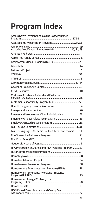# **Program Index**

| Access Down Payment and Closing Cost Assistance           |
|-----------------------------------------------------------|
| Access Home Modification Program20, 27, 51                |
|                                                           |
|                                                           |
|                                                           |
|                                                           |
|                                                           |
|                                                           |
|                                                           |
|                                                           |
|                                                           |
|                                                           |
|                                                           |
| <b>Customer Assistance Referral and Evaluation</b>        |
|                                                           |
|                                                           |
|                                                           |
| Emergency Resources for Older Philadelphians53            |
|                                                           |
|                                                           |
|                                                           |
| Fair Housing Rights Center in Southeastern Pennsylvania11 |
|                                                           |
|                                                           |
|                                                           |
| HFA Preferred Risk Sharing and HFA Preferred Program21    |
|                                                           |
|                                                           |
|                                                           |
|                                                           |
| Homeowner's Emergency Loan Program (HELP)28               |
| Homeowners' Emergency Mortgage Assistance                 |
| Homeowners Energy Efficiency Loan                         |
|                                                           |
| HOMEstead Down Payment and Closing Cost                   |
|                                                           |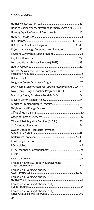#### *PROGRAM INDEX*

| Housing Choice Voucher Program (formerly Section 8)41                        |  |
|------------------------------------------------------------------------------|--|
|                                                                              |  |
|                                                                              |  |
|                                                                              |  |
|                                                                              |  |
| Keystone Advantage Assistance Loan Program22                                 |  |
|                                                                              |  |
|                                                                              |  |
| Lead and Healthy Homes Program (LHHP)33                                      |  |
|                                                                              |  |
| Licenses & Inspections Rental Complaints and                                 |  |
|                                                                              |  |
|                                                                              |  |
| Low Income Senior Citizen Real Estate Freeze Program36, 47                   |  |
| Low Income Usage Reduction Program (LIURP)26                                 |  |
| Matching Energy Assistance Fund (MEAF)54                                     |  |
|                                                                              |  |
|                                                                              |  |
|                                                                              |  |
|                                                                              |  |
|                                                                              |  |
|                                                                              |  |
|                                                                              |  |
|                                                                              |  |
| Owner-Occupied Real Estate Payment                                           |  |
|                                                                              |  |
|                                                                              |  |
|                                                                              |  |
|                                                                              |  |
|                                                                              |  |
|                                                                              |  |
| Philadelphia Asset & Property Management                                     |  |
| Philadelphia Housing Authority (PHA)                                         |  |
|                                                                              |  |
| Philadelphia Housing Authority (PHA)<br>Philadelphia Housing Authority (PHA) |  |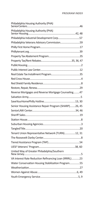| Philadelphia Housing Authority (PHA)                   |  |
|--------------------------------------------------------|--|
| Philadelphia Housing Authority (PHA)                   |  |
| Philadelphia Industrial Development Corp57             |  |
| Philadelphia Veterans Advisory Commission59            |  |
|                                                        |  |
|                                                        |  |
|                                                        |  |
|                                                        |  |
|                                                        |  |
|                                                        |  |
|                                                        |  |
|                                                        |  |
|                                                        |  |
|                                                        |  |
| Reverse Mortgages and Reverse Mortgage Counseling47    |  |
|                                                        |  |
|                                                        |  |
| Senior Housing Assistance Repair Program (SHARP)26, 45 |  |
|                                                        |  |
|                                                        |  |
|                                                        |  |
|                                                        |  |
|                                                        |  |
| Tenant Union Representative Network (TURN)12, 31       |  |
|                                                        |  |
|                                                        |  |
|                                                        |  |
| United Way of Greater Philadelphia/Southern            |  |
| VA Interest Rate Reduction Refinancing Loan (IRRRL)23  |  |
| Water Conservation Housing Stabilization Program55     |  |
|                                                        |  |
|                                                        |  |
|                                                        |  |